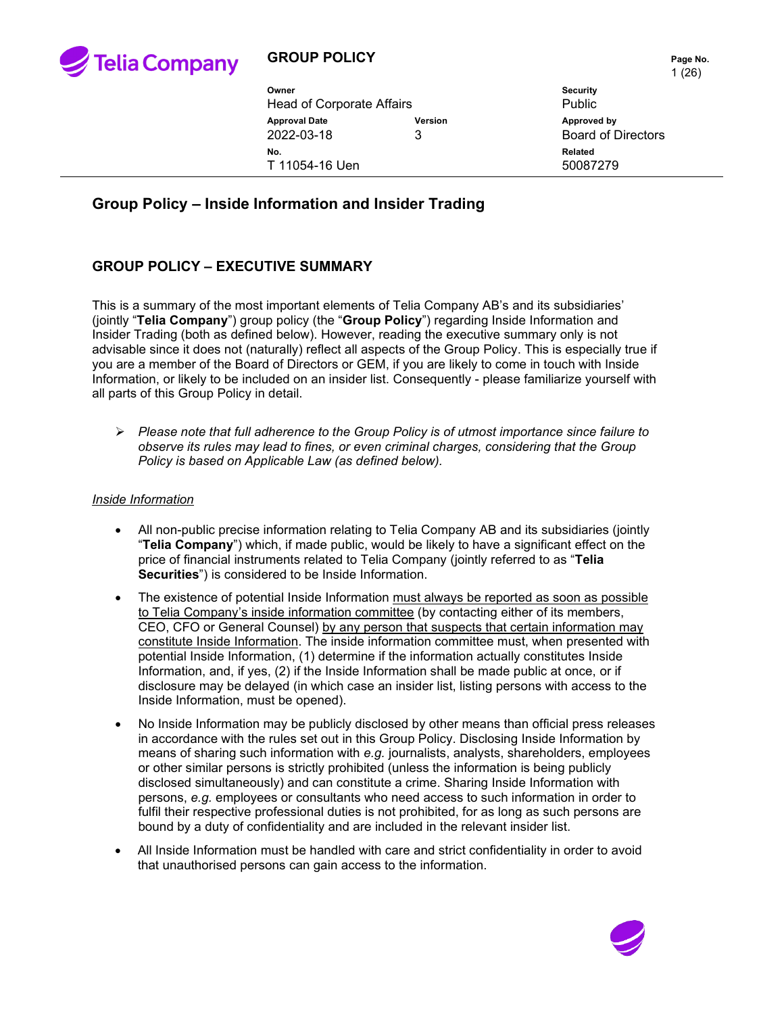

## **GROUP POLICY PAGE 2012 12:25 Page No.**

|                                  |         | 1 L V                     |
|----------------------------------|---------|---------------------------|
| Owner                            |         | <b>Security</b>           |
| <b>Head of Corporate Affairs</b> |         | <b>Public</b>             |
| <b>Approval Date</b>             | Version | Approved by               |
| 2022-03-18                       | 3       | <b>Board of Directors</b> |
| No.                              |         | Related                   |
| T 11054-16 Uen                   |         | 50087279                  |
|                                  |         |                           |

# **Group Policy – Inside Information and Insider Trading**

### **GROUP POLICY – EXECUTIVE SUMMARY**

This is a summary of the most important elements of Telia Company AB's and its subsidiaries' (jointly "**Telia Company**") group policy (the "**Group Policy**") regarding Inside Information and Insider Trading (both as defined below). However, reading the executive summary only is not advisable since it does not (naturally) reflect all aspects of the Group Policy. This is especially true if you are a member of the Board of Directors or GEM, if you are likely to come in touch with Inside Information, or likely to be included on an insider list. Consequently - please familiarize yourself with all parts of this Group Policy in detail.

 *Please note that full adherence to the Group Policy is of utmost importance since failure to observe its rules may lead to fines, or even criminal charges, considering that the Group Policy is based on Applicable Law (as defined below).*

#### *Inside Information*

- All non-public precise information relating to Telia Company AB and its subsidiaries (jointly "**Telia Company**") which, if made public, would be likely to have a significant effect on the price of financial instruments related to Telia Company (jointly referred to as "**Telia Securities**") is considered to be Inside Information.
- The existence of potential Inside Information must always be reported as soon as possible to Telia Company's inside information committee (by contacting either of its members, CEO, CFO or General Counsel) by any person that suspects that certain information may constitute Inside Information. The inside information committee must, when presented with potential Inside Information, (1) determine if the information actually constitutes Inside Information, and, if yes, (2) if the Inside Information shall be made public at once, or if disclosure may be delayed (in which case an insider list, listing persons with access to the Inside Information, must be opened).
- No Inside Information may be publicly disclosed by other means than official press releases in accordance with the rules set out in this Group Policy. Disclosing Inside Information by means of sharing such information with *e.g.* journalists, analysts, shareholders, employees or other similar persons is strictly prohibited (unless the information is being publicly disclosed simultaneously) and can constitute a crime. Sharing Inside Information with persons, *e.g.* employees or consultants who need access to such information in order to fulfil their respective professional duties is not prohibited, for as long as such persons are bound by a duty of confidentiality and are included in the relevant insider list.
- All Inside Information must be handled with care and strict confidentiality in order to avoid that unauthorised persons can gain access to the information.

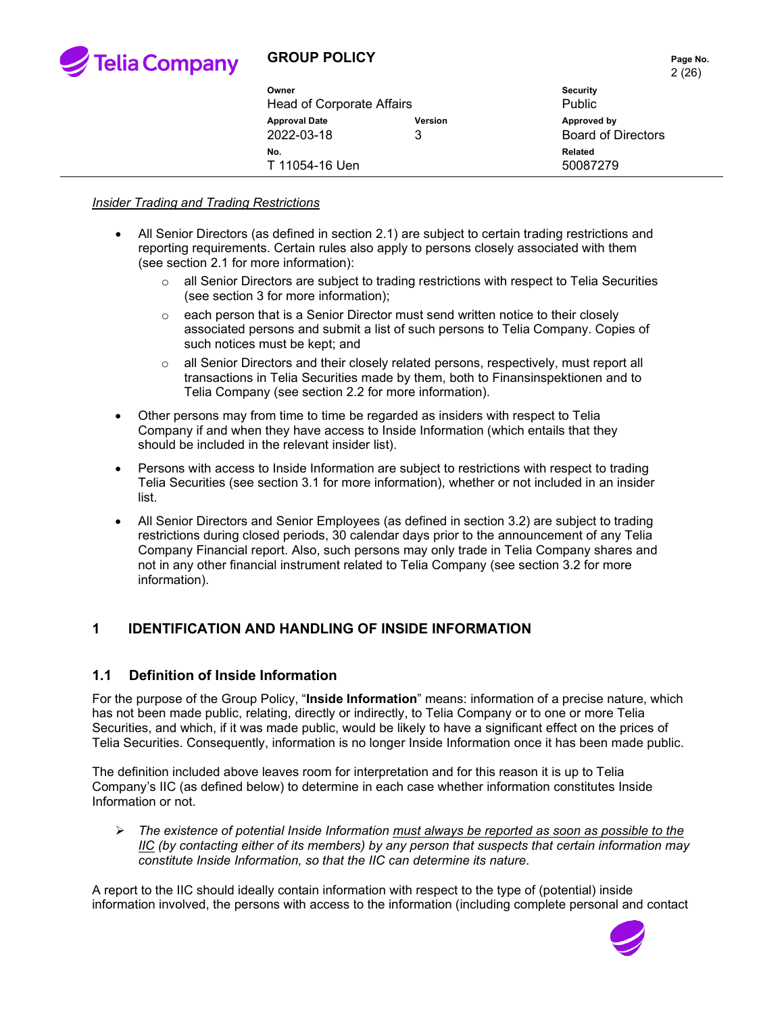

# **GROUP POLICY PAGE 10.** Page No.

|                                    |              | 2(26)                                    |  |
|------------------------------------|--------------|------------------------------------------|--|
| Owner                              |              | <b>Security</b>                          |  |
| <b>Head of Corporate Affairs</b>   |              | Public                                   |  |
| <b>Approval Date</b><br>2022-03-18 | Version<br>3 | Approved by<br><b>Board of Directors</b> |  |
| No.<br>T 11054-16 Uen              |              | <b>Related</b><br>50087279               |  |

#### *Insider Trading and Trading Restrictions*

- All Senior Directors (as defined in section [2.1\)](#page-4-0) are subject to certain trading restrictions and reporting requirements. Certain rules also apply to persons closely associated with them (see section [2.1](#page-4-0) for more information):
	- $\circ$  all Senior Directors are subject to trading restrictions with respect to Telia Securities (see section [3](#page-6-0) for more information);
	- $\circ$  each person that is a Senior Director must send written notice to their closely associated persons and submit a list of such persons to Telia Company. Copies of such notices must be kept; and
	- $\circ$  all Senior Directors and their closely related persons, respectively, must report all transactions in Telia Securities made by them, both to Finansinspektionen and to Telia Company (see section [2.2](#page-5-0) for more information).
- Other persons may from time to time be regarded as insiders with respect to Telia Company if and when they have access to Inside Information (which entails that they should be included in the relevant insider list).
- Persons with access to Inside Information are subject to restrictions with respect to trading Telia Securities (see section [3.1](#page-6-1) for more information), whether or not included in an insider list.
- All Senior Directors and Senior Employees (as defined in section [3.2\)](#page-6-2) are subject to trading restrictions during closed periods, 30 calendar days prior to the announcement of any Telia Company Financial report. Also, such persons may only trade in Telia Company shares and not in any other financial instrument related to Telia Company (see section [3.2](#page-6-2) for more information).

### **1 IDENTIFICATION AND HANDLING OF INSIDE INFORMATION**

#### **1.1 Definition of Inside Information**

For the purpose of the Group Policy, "**Inside Information**" means: information of a precise nature, which has not been made public, relating, directly or indirectly, to Telia Company or to one or more Telia Securities, and which, if it was made public, would be likely to have a significant effect on the prices of Telia Securities. Consequently, information is no longer Inside Information once it has been made public.

The definition included above leaves room for interpretation and for this reason it is up to Telia Company's IIC (as defined below) to determine in each case whether information constitutes Inside Information or not.

 *The existence of potential Inside Information must always be reported as soon as possible to the IIC (by contacting either of its members) by any person that suspects that certain information may constitute Inside Information, so that the IIC can determine its nature*.

A report to the IIC should ideally contain information with respect to the type of (potential) inside information involved, the persons with access to the information (including complete personal and contact

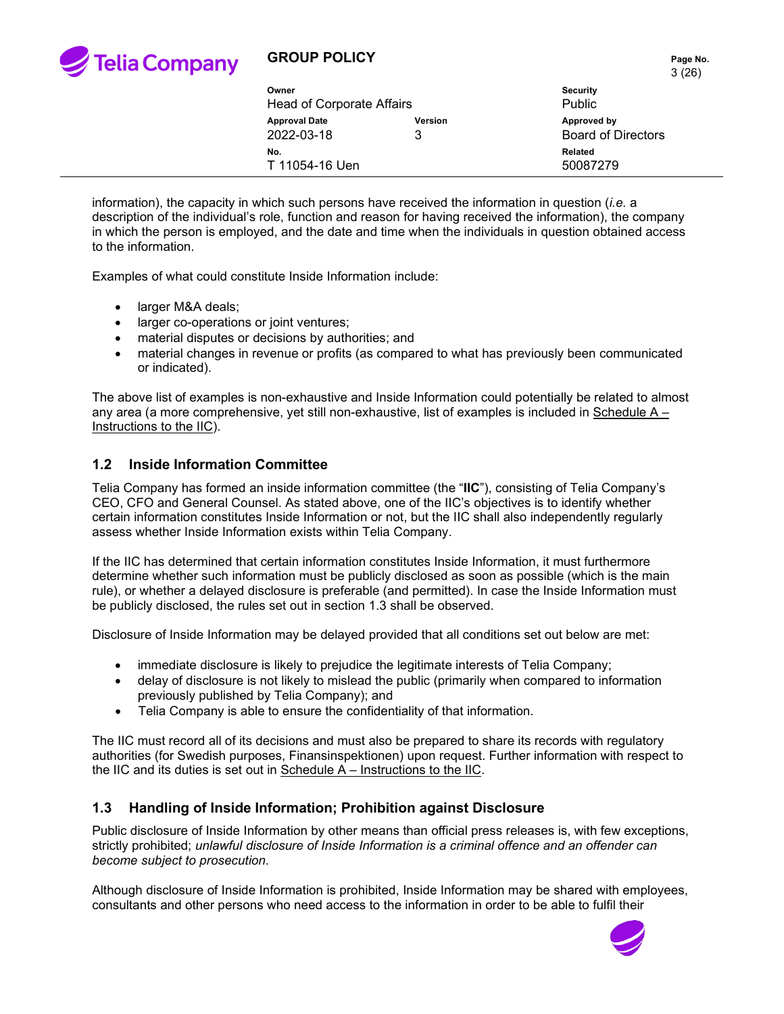

# **GROUP POLICY PAGE 10 AND THE PAGE NO.** Page No.

|       |                                  |         | 3 (26)                    |
|-------|----------------------------------|---------|---------------------------|
| Owner |                                  |         | <b>Security</b>           |
|       | <b>Head of Corporate Affairs</b> |         | <b>Public</b>             |
|       | <b>Approval Date</b>             | Version | Approved by               |
|       | 2022-03-18<br>3                  |         | <b>Board of Directors</b> |
|       | No.                              |         | Related                   |
|       | T 11054-16 Uen                   |         | 50087279                  |
|       |                                  |         |                           |

information), the capacity in which such persons have received the information in question (*i.e.* a description of the individual's role, function and reason for having received the information), the company in which the person is employed, and the date and time when the individuals in question obtained access to the information.

Examples of what could constitute Inside Information include:

- larger M&A deals;
- larger co-operations or joint ventures;
- material disputes or decisions by authorities; and
- material changes in revenue or profits (as compared to what has previously been communicated or indicated).

The above list of examples is non-exhaustive and Inside Information could potentially be related to almost any area (a more comprehensive, yet still non-exhaustive, list of examples is included in Schedule A – Instructions to the IIC).

### **1.2 Inside Information Committee**

Telia Company has formed an inside information committee (the "**IIC**"), consisting of Telia Company's CEO, CFO and General Counsel. As stated above, one of the IIC's objectives is to identify whether certain information constitutes Inside Information or not, but the IIC shall also independently regularly assess whether Inside Information exists within Telia Company.

If the IIC has determined that certain information constitutes Inside Information, it must furthermore determine whether such information must be publicly disclosed as soon as possible (which is the main rule), or whether a delayed disclosure is preferable (and permitted). In case the Inside Information must be publicly disclosed, the rules set out in section [1.3](#page-2-0) shall be observed.

Disclosure of Inside Information may be delayed provided that all conditions set out below are met:

- immediate disclosure is likely to prejudice the legitimate interests of Telia Company;
- delay of disclosure is not likely to mislead the public (primarily when compared to information previously published by Telia Company); and
- Telia Company is able to ensure the confidentiality of that information.

The IIC must record all of its decisions and must also be prepared to share its records with regulatory authorities (for Swedish purposes, Finansinspektionen) upon request. Further information with respect to the IIC and its duties is set out in Schedule A – Instructions to the IIC.

### <span id="page-2-0"></span>**1.3 Handling of Inside Information; Prohibition against Disclosure**

Public disclosure of Inside Information by other means than official press releases is, with few exceptions, strictly prohibited; *unlawful disclosure of Inside Information is a criminal offence and an offender can become subject to prosecution*.

Although disclosure of Inside Information is prohibited, Inside Information may be shared with employees, consultants and other persons who need access to the information in order to be able to fulfil their



3 (26)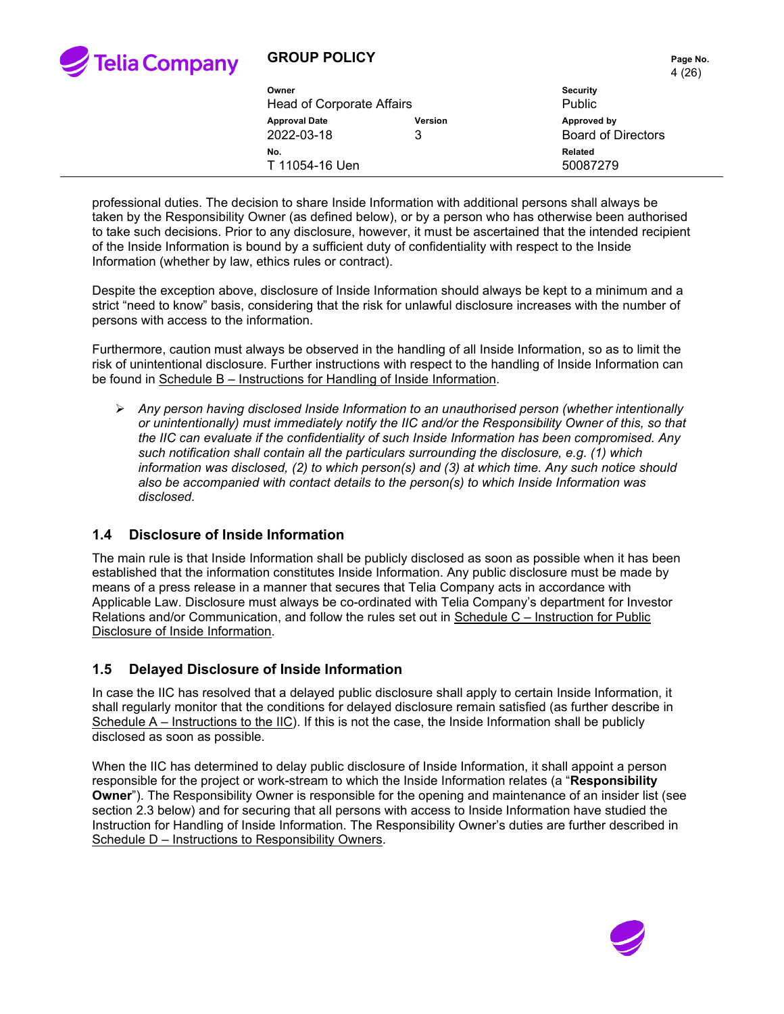

### **GROUP POLICY**

|        | Page No. |
|--------|----------|
| 4 (26) |          |

| Owner<br>Head of Corporate Affairs |                     | <b>Security</b><br>Public                |
|------------------------------------|---------------------|------------------------------------------|
| <b>Approval Date</b><br>2022-03-18 | <b>Version</b><br>2 | Approved by<br><b>Board of Directors</b> |
| No.<br>T 11054-16 Uen              |                     | Related<br>50087279                      |
|                                    |                     |                                          |

professional duties. The decision to share Inside Information with additional persons shall always be taken by the Responsibility Owner (as defined below), or by a person who has otherwise been authorised to take such decisions. Prior to any disclosure, however, it must be ascertained that the intended recipient of the Inside Information is bound by a sufficient duty of confidentiality with respect to the Inside Information (whether by law, ethics rules or contract).

Despite the exception above, disclosure of Inside Information should always be kept to a minimum and a strict "need to know" basis, considering that the risk for unlawful disclosure increases with the number of persons with access to the information.

Furthermore, caution must always be observed in the handling of all Inside Information, so as to limit the risk of unintentional disclosure. Further instructions with respect to the handling of Inside Information can be found in Schedule B – Instructions for Handling of Inside Information.

 *Any person having disclosed Inside Information to an unauthorised person (whether intentionally or unintentionally) must immediately notify the IIC and/or the Responsibility Owner of this, so that the IIC can evaluate if the confidentiality of such Inside Information has been compromised. Any such notification shall contain all the particulars surrounding the disclosure, e.g. (1) which information was disclosed, (2) to which person(s) and (3) at which time. Any such notice should also be accompanied with contact details to the person(s) to which Inside Information was disclosed.*

### **1.4 Disclosure of Inside Information**

The main rule is that Inside Information shall be publicly disclosed as soon as possible when it has been established that the information constitutes Inside Information. Any public disclosure must be made by means of a press release in a manner that secures that Telia Company acts in accordance with Applicable Law. Disclosure must always be co-ordinated with Telia Company's department for Investor Relations and/or Communication, and follow the rules set out in Schedule C – Instruction for Public Disclosure of Inside Information.

### **1.5 Delayed Disclosure of Inside Information**

In case the IIC has resolved that a delayed public disclosure shall apply to certain Inside Information, it shall regularly monitor that the conditions for delayed disclosure remain satisfied (as further describe in Schedule A – Instructions to the IIC). If this is not the case, the Inside Information shall be publicly disclosed as soon as possible.

When the IIC has determined to delay public disclosure of Inside Information, it shall appoint a person responsible for the project or work-stream to which the Inside Information relates (a "**Responsibility Owner**"). The Responsibility Owner is responsible for the opening and maintenance of an insider list (see section [2.3](#page-6-3) below) and for securing that all persons with access to Inside Information have studied the Instruction for Handling of Inside Information. The Responsibility Owner's duties are further described in Schedule D – Instructions to Responsibility Owners.

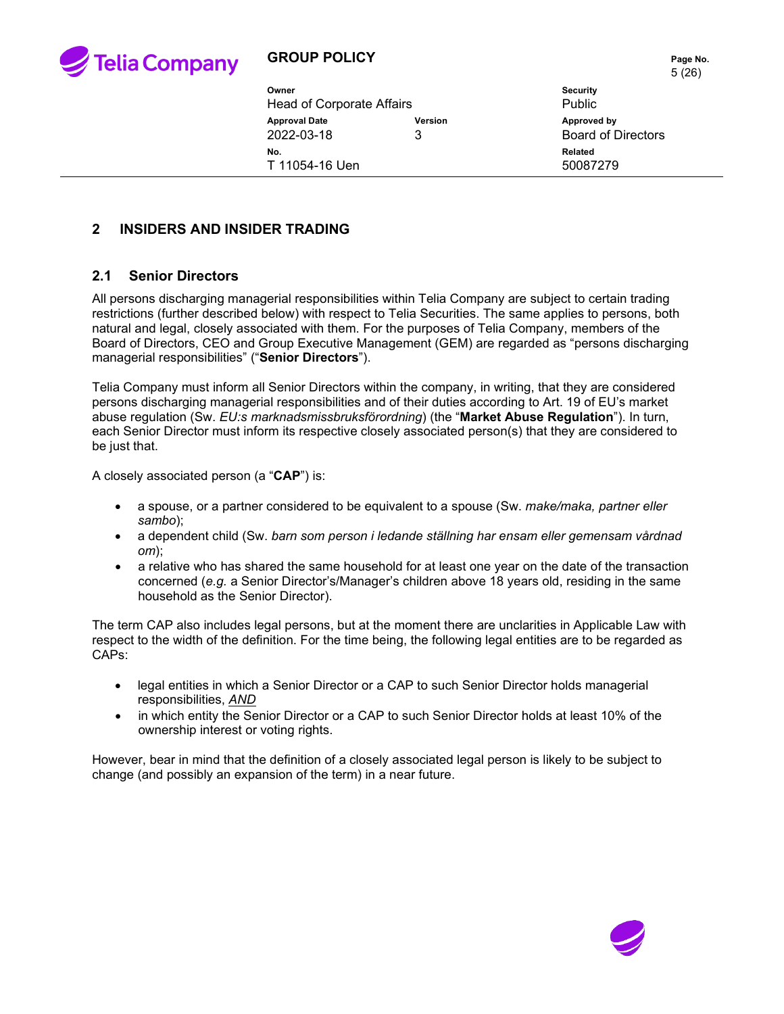

| Owner<br>Head of Corporate Affairs |              | $\cup$ 14 $\cup$ 1<br><b>Security</b><br><b>Public</b> |
|------------------------------------|--------------|--------------------------------------------------------|
| <b>Approval Date</b><br>2022-03-18 | Version<br>3 | Approved by<br><b>Board of Directors</b>               |
| No.<br>T 11054-16 Uen              |              | <b>Related</b><br>50087279                             |

### **2 INSIDERS AND INSIDER TRADING**

### <span id="page-4-0"></span>**2.1 Senior Directors**

All persons discharging managerial responsibilities within Telia Company are subject to certain trading restrictions (further described below) with respect to Telia Securities. The same applies to persons, both natural and legal, closely associated with them. For the purposes of Telia Company, members of the Board of Directors, CEO and Group Executive Management (GEM) are regarded as "persons discharging managerial responsibilities" ("**Senior Directors**").

Telia Company must inform all Senior Directors within the company, in writing, that they are considered persons discharging managerial responsibilities and of their duties according to Art. 19 of EU's market abuse regulation (Sw. *EU:s marknadsmissbruksförordning*) (the "**Market Abuse Regulation**"). In turn, each Senior Director must inform its respective closely associated person(s) that they are considered to be just that.

A closely associated person (a "**CAP**") is:

- a spouse, or a partner considered to be equivalent to a spouse (Sw. *make/maka, partner eller sambo*);
- a dependent child (Sw. *barn som person i ledande ställning har ensam eller gemensam vårdnad om*);
- a relative who has shared the same household for at least one year on the date of the transaction concerned (*e.g.* a Senior Director's/Manager's children above 18 years old, residing in the same household as the Senior Director).

The term CAP also includes legal persons, but at the moment there are unclarities in Applicable Law with respect to the width of the definition. For the time being, the following legal entities are to be regarded as CAPs:

- legal entities in which a Senior Director or a CAP to such Senior Director holds managerial responsibilities, *AND*
- in which entity the Senior Director or a CAP to such Senior Director holds at least 10% of the ownership interest or voting rights.

However, bear in mind that the definition of a closely associated legal person is likely to be subject to change (and possibly an expansion of the term) in a near future.

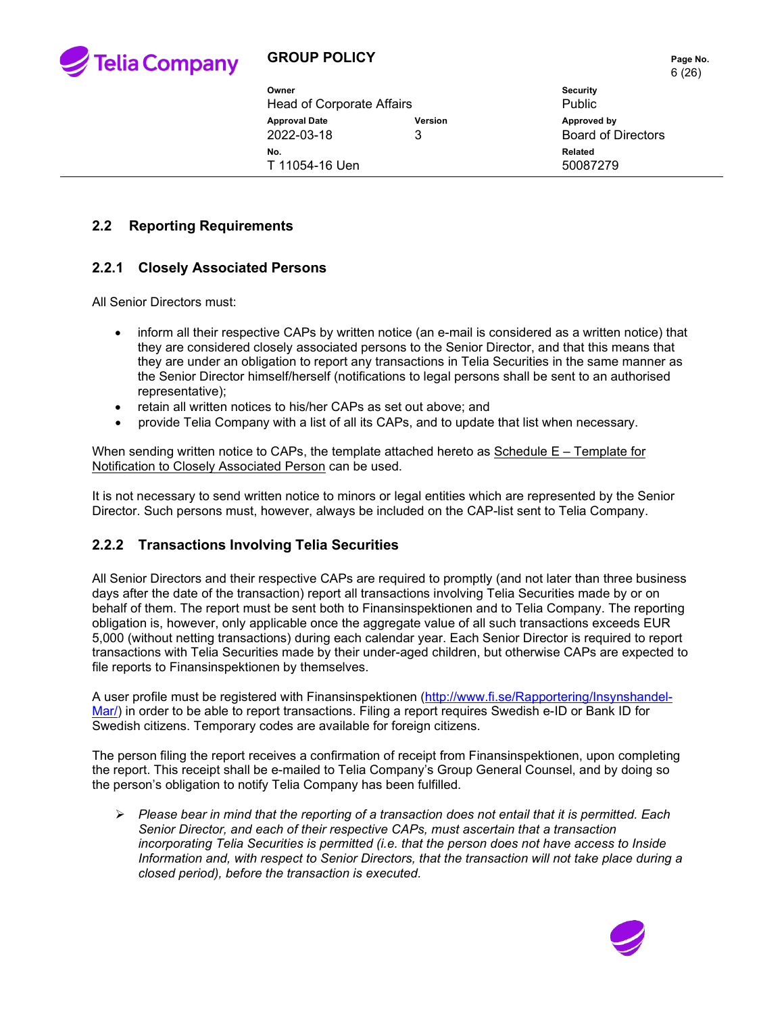

# **GROUP POLICY PAGE 10.** Page No.

|                                  |         | 6(26)                     |
|----------------------------------|---------|---------------------------|
| Owner                            |         | <b>Security</b>           |
| <b>Head of Corporate Affairs</b> |         | Public                    |
| <b>Approval Date</b>             | Version | Approved by               |
| 2022-03-18                       | 3       | <b>Board of Directors</b> |
| No.                              |         | Related                   |
| T 11054-16 Uen                   |         | 50087279                  |

### <span id="page-5-0"></span>**2.2 Reporting Requirements**

### **2.2.1 Closely Associated Persons**

All Senior Directors must:

- inform all their respective CAPs by written notice (an e-mail is considered as a written notice) that they are considered closely associated persons to the Senior Director, and that this means that they are under an obligation to report any transactions in Telia Securities in the same manner as the Senior Director himself/herself (notifications to legal persons shall be sent to an authorised representative);
- retain all written notices to his/her CAPs as set out above; and
- provide Telia Company with a list of all its CAPs, and to update that list when necessary.

When sending written notice to CAPs, the template attached hereto as Schedule E – Template for Notification to Closely Associated Person can be used.

It is not necessary to send written notice to minors or legal entities which are represented by the Senior Director. Such persons must, however, always be included on the CAP-list sent to Telia Company.

### **2.2.2 Transactions Involving Telia Securities**

All Senior Directors and their respective CAPs are required to promptly (and not later than three business days after the date of the transaction) report all transactions involving Telia Securities made by or on behalf of them. The report must be sent both to Finansinspektionen and to Telia Company. The reporting obligation is, however, only applicable once the aggregate value of all such transactions exceeds EUR 5,000 (without netting transactions) during each calendar year. Each Senior Director is required to report transactions with Telia Securities made by their under-aged children, but otherwise CAPs are expected to file reports to Finansinspektionen by themselves.

A user profile must be registered with Finansinspektionen [\(http://www.fi.se/Rapportering/Insynshandel-](http://www.fi.se/Rapportering/Insynshandel-Mar/)[Mar/\)](http://www.fi.se/Rapportering/Insynshandel-Mar/) in order to be able to report transactions. Filing a report requires Swedish e-ID or Bank ID for Swedish citizens. Temporary codes are available for foreign citizens.

The person filing the report receives a confirmation of receipt from Finansinspektionen, upon completing the report. This receipt shall be e-mailed to Telia Company's Group General Counsel, and by doing so the person's obligation to notify Telia Company has been fulfilled.

 *Please bear in mind that the reporting of a transaction does not entail that it is permitted. Each Senior Director, and each of their respective CAPs, must ascertain that a transaction incorporating Telia Securities is permitted (i.e. that the person does not have access to Inside Information and, with respect to Senior Directors, that the transaction will not take place during a closed period), before the transaction is executed.*

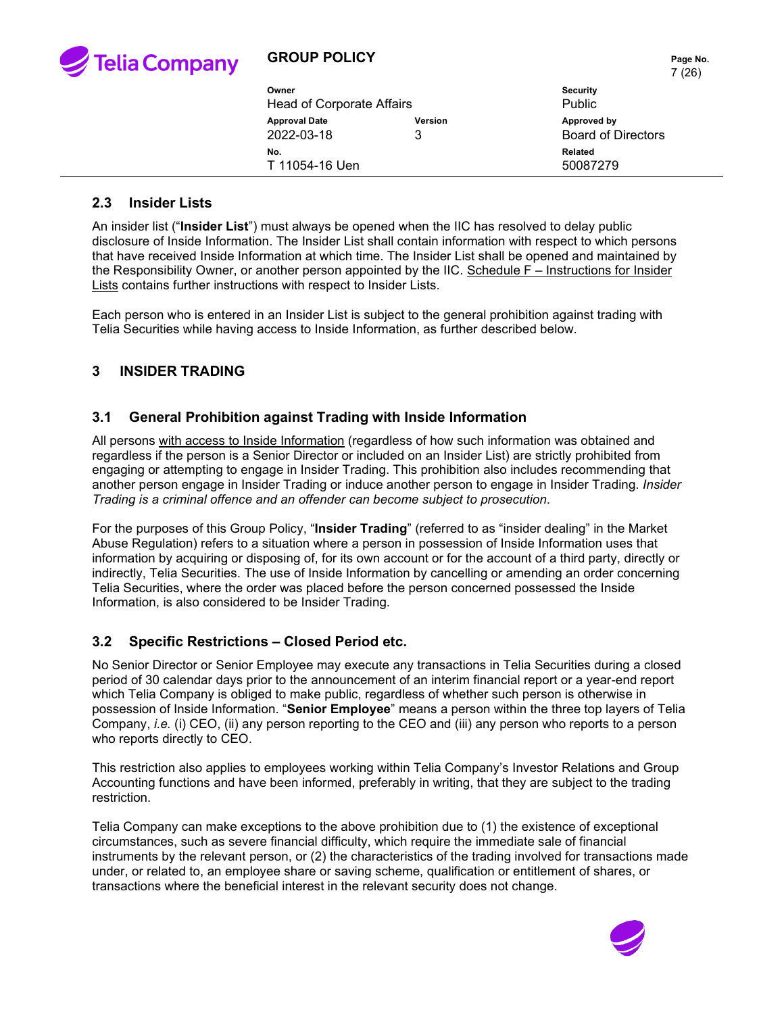

# **GROUP POLICY PAGE 10 Page No.**

| Owner                | Head of Corporate Affairs |                | $\overline{\phantom{a}}$<br><b>Security</b><br><b>Public</b> |
|----------------------|---------------------------|----------------|--------------------------------------------------------------|
| <b>Approval Date</b> | 2022-03-18<br>3           | <b>Version</b> | Approved by<br><b>Board of Directors</b>                     |
| No.                  | T 11054-16 Uen            |                | Related<br>50087279                                          |

#### <span id="page-6-3"></span>**2.3 Insider Lists**

An insider list ("**Insider List**") must always be opened when the IIC has resolved to delay public disclosure of Inside Information. The Insider List shall contain information with respect to which persons that have received Inside Information at which time. The Insider List shall be opened and maintained by the Responsibility Owner, or another person appointed by the IIC. Schedule F – Instructions for Insider Lists contains further instructions with respect to Insider Lists.

Each person who is entered in an Insider List is subject to the general prohibition against trading with Telia Securities while having access to Inside Information, as further described below.

### <span id="page-6-0"></span>**3 INSIDER TRADING**

#### <span id="page-6-1"></span>**3.1 General Prohibition against Trading with Inside Information**

All persons with access to Inside Information (regardless of how such information was obtained and regardless if the person is a Senior Director or included on an Insider List) are strictly prohibited from engaging or attempting to engage in Insider Trading. This prohibition also includes recommending that another person engage in Insider Trading or induce another person to engage in Insider Trading. *Insider Trading is a criminal offence and an offender can become subject to prosecution*.

For the purposes of this Group Policy, "**Insider Trading**" (referred to as "insider dealing" in the Market Abuse Regulation) refers to a situation where a person in possession of Inside Information uses that information by acquiring or disposing of, for its own account or for the account of a third party, directly or indirectly, Telia Securities. The use of Inside Information by cancelling or amending an order concerning Telia Securities, where the order was placed before the person concerned possessed the Inside Information, is also considered to be Insider Trading.

#### <span id="page-6-2"></span>**3.2 Specific Restrictions – Closed Period etc.**

No Senior Director or Senior Employee may execute any transactions in Telia Securities during a closed period of 30 calendar days prior to the announcement of an interim financial report or a year-end report which Telia Company is obliged to make public, regardless of whether such person is otherwise in possession of Inside Information. "**Senior Employee**" means a person within the three top layers of Telia Company, *i.e.* (i) CEO, (ii) any person reporting to the CEO and (iii) any person who reports to a person who reports directly to CEO.

This restriction also applies to employees working within Telia Company's Investor Relations and Group Accounting functions and have been informed, preferably in writing, that they are subject to the trading restriction.

Telia Company can make exceptions to the above prohibition due to (1) the existence of exceptional circumstances, such as severe financial difficulty, which require the immediate sale of financial instruments by the relevant person, or (2) the characteristics of the trading involved for transactions made under, or related to, an employee share or saving scheme, qualification or entitlement of shares, or transactions where the beneficial interest in the relevant security does not change.

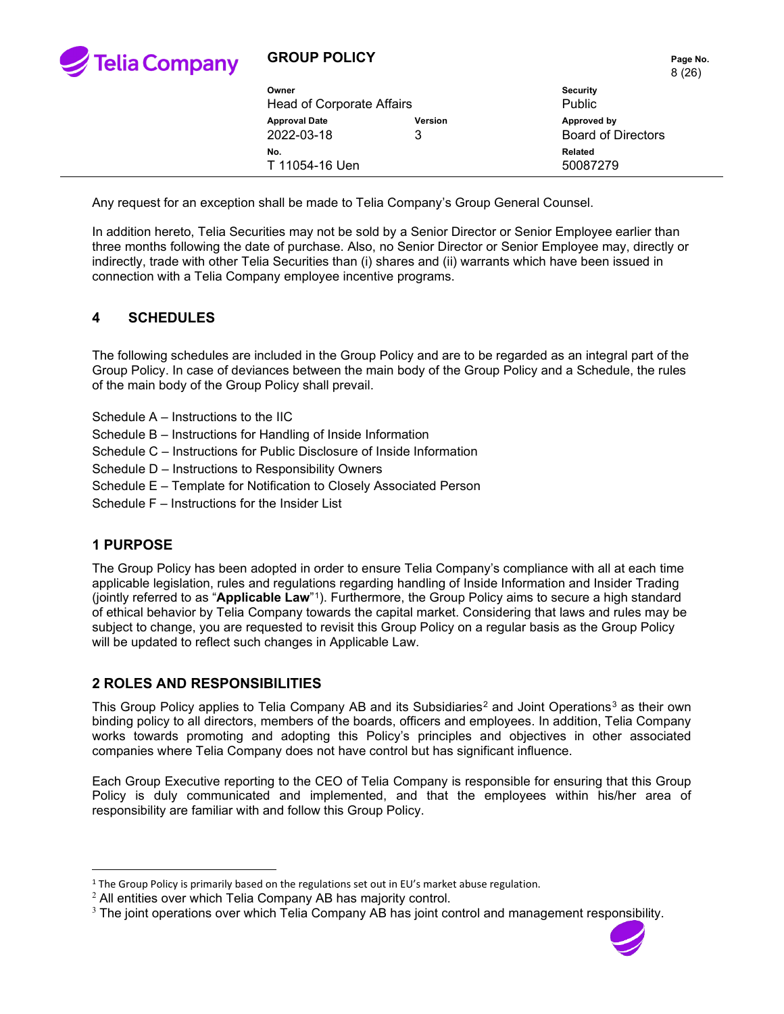

### **GROUP POLICY**

|       | Page No. |
|-------|----------|
| 8(26) |          |

| Owner<br>Head of Corporate Affairs |                     | <b>Security</b><br><b>Public</b>         |
|------------------------------------|---------------------|------------------------------------------|
| <b>Approval Date</b><br>2022-03-18 | <b>Version</b><br>3 | Approved by<br><b>Board of Directors</b> |
| No.<br>T 11054-16 Uen              |                     | Related<br>50087279                      |
|                                    |                     |                                          |

Any request for an exception shall be made to Telia Company's Group General Counsel.

In addition hereto, Telia Securities may not be sold by a Senior Director or Senior Employee earlier than three months following the date of purchase. Also, no Senior Director or Senior Employee may, directly or indirectly, trade with other Telia Securities than (i) shares and (ii) warrants which have been issued in connection with a Telia Company employee incentive programs.

### **4 SCHEDULES**

The following schedules are included in the Group Policy and are to be regarded as an integral part of the Group Policy. In case of deviances between the main body of the Group Policy and a Schedule, the rules of the main body of the Group Policy shall prevail.

- Schedule A Instructions to the IIC
- Schedule B Instructions for Handling of Inside Information
- Schedule C Instructions for Public Disclosure of Inside Information
- Schedule D Instructions to Responsibility Owners
- Schedule E Template for Notification to Closely Associated Person
- Schedule F Instructions for the Insider List

#### **1 PURPOSE**

The Group Policy has been adopted in order to ensure Telia Company's compliance with all at each time applicable legislation, rules and regulations regarding handling of Inside Information and Insider Trading (jointly referred to as "**Applicable Law**"[1](#page-7-0)). Furthermore, the Group Policy aims to secure a high standard of ethical behavior by Telia Company towards the capital market. Considering that laws and rules may be subject to change, you are requested to revisit this Group Policy on a regular basis as the Group Policy will be updated to reflect such changes in Applicable Law.

### **2 ROLES AND RESPONSIBILITIES**

This Group Policy applies to Telia Company AB and its Subsidiaries<sup>[2](#page-7-1)</sup> and Joint Operations<sup>[3](#page-7-2)</sup> as their own binding policy to all directors, members of the boards, officers and employees. In addition, Telia Company works towards promoting and adopting this Policy's principles and objectives in other associated companies where Telia Company does not have control but has significant influence.

Each Group Executive reporting to the CEO of Telia Company is responsible for ensuring that this Group Policy is duly communicated and implemented, and that the employees within his/her area of responsibility are familiar with and follow this Group Policy.

<span id="page-7-2"></span><sup>&</sup>lt;sup>3</sup> The joint operations over which Telia Company AB has joint control and management responsibility.



<span id="page-7-0"></span><sup>&</sup>lt;sup>1</sup> The Group Policy is primarily based on the regulations set out in EU's market abuse regulation.

<span id="page-7-1"></span><sup>2</sup> All entities over which Telia Company AB has majority control.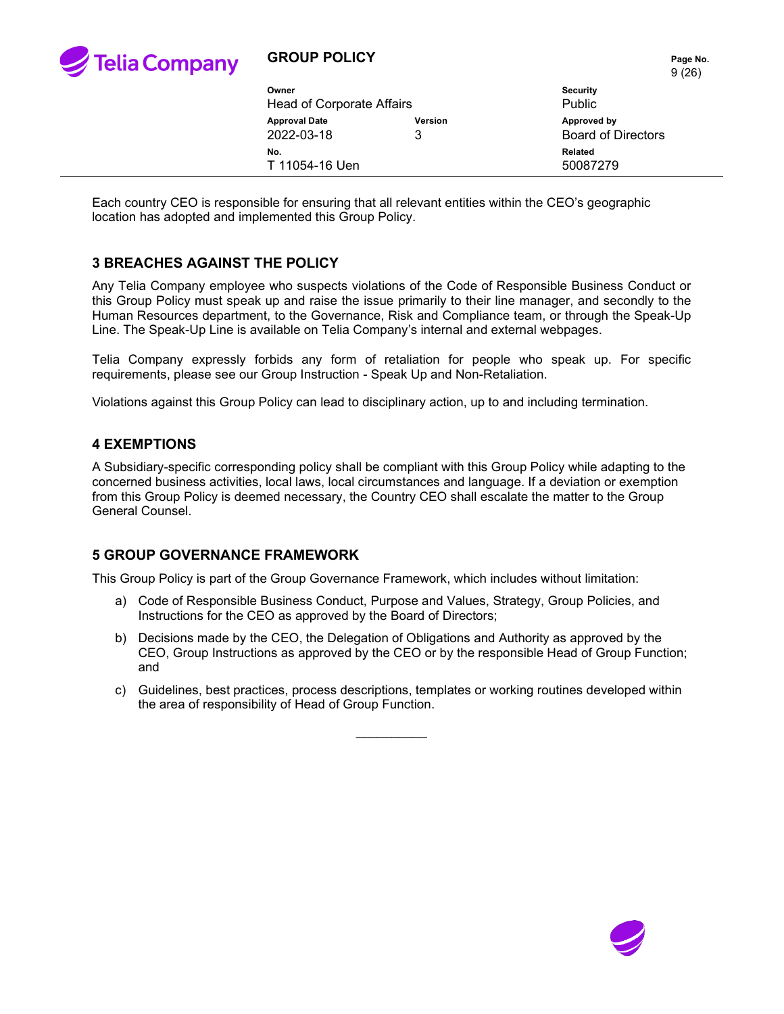

### **GROUP POLICY PAGE 10 AND THE PAGE NO.** Page No.

9 (26)

| Owner                     |                | <b>Security</b>           |  |
|---------------------------|----------------|---------------------------|--|
| Head of Corporate Affairs |                | Public                    |  |
| <b>Approval Date</b>      | <b>Version</b> | Approved by               |  |
| 2022-03-18                | 3              | <b>Board of Directors</b> |  |
| No.                       |                | Related                   |  |
| T 11054-16 Uen            |                | 50087279                  |  |
|                           |                |                           |  |

Each country CEO is responsible for ensuring that all relevant entities within the CEO's geographic location has adopted and implemented this Group Policy.

#### **3 BREACHES AGAINST THE POLICY**

Any Telia Company employee who suspects violations of the Code of Responsible Business Conduct or this Group Policy must speak up and raise the issue primarily to their line manager, and secondly to the Human Resources department, to the Governance, Risk and Compliance team, or through the Speak-Up Line. The Speak-Up Line is available on Telia Company's internal and external webpages.

Telia Company expressly forbids any form of retaliation for people who speak up. For specific requirements, please see our Group Instruction - Speak Up and Non-Retaliation.

Violations against this Group Policy can lead to disciplinary action, up to and including termination.

#### **4 EXEMPTIONS**

A Subsidiary-specific corresponding policy shall be compliant with this Group Policy while adapting to the concerned business activities, local laws, local circumstances and language. If a deviation or exemption from this Group Policy is deemed necessary, the Country CEO shall escalate the matter to the Group General Counsel.

### **5 GROUP GOVERNANCE FRAMEWORK**

This Group Policy is part of the Group Governance Framework, which includes without limitation:

- a) Code of Responsible Business Conduct, Purpose and Values, Strategy, Group Policies, and Instructions for the CEO as approved by the Board of Directors;
- b) Decisions made by the CEO, the Delegation of Obligations and Authority as approved by the CEO, Group Instructions as approved by the CEO or by the responsible Head of Group Function; and
- c) Guidelines, best practices, process descriptions, templates or working routines developed within the area of responsibility of Head of Group Function.

 $\overline{\phantom{a}}$ 

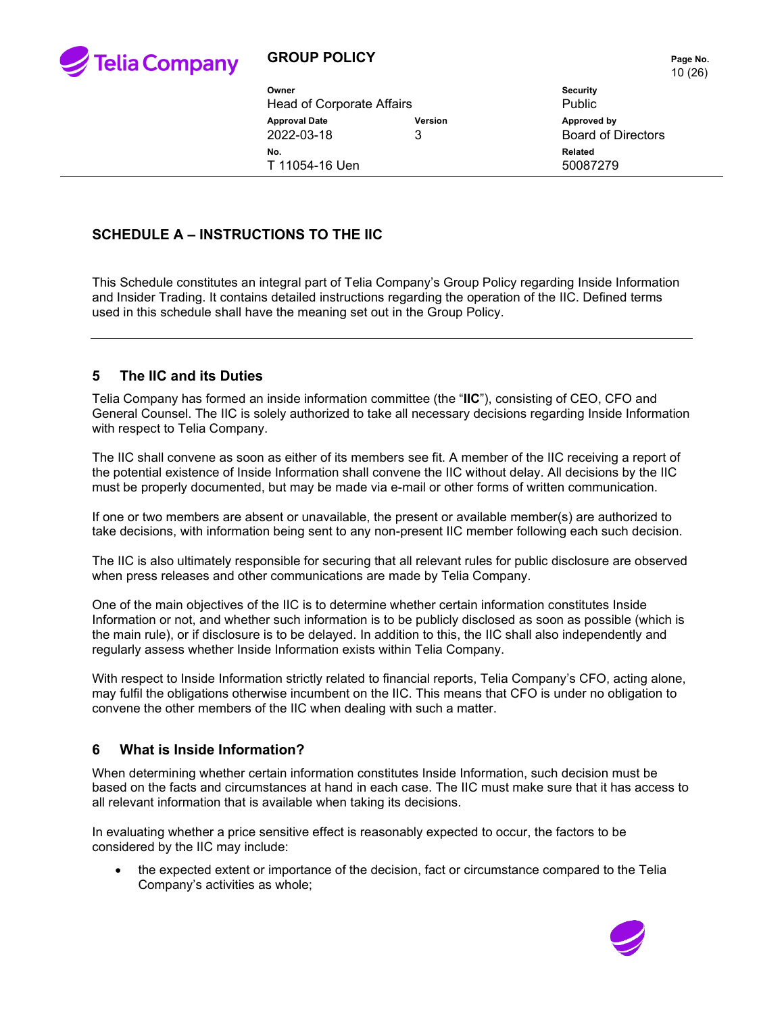

### **GROUP POLICY PAGE 10 Page No.**

10 (26)

|                                  |                | $\cdot$ $\cdot$ $\cdot$ $\cdot$ |
|----------------------------------|----------------|---------------------------------|
| Owner                            |                | <b>Security</b>                 |
| <b>Head of Corporate Affairs</b> |                | <b>Public</b>                   |
| <b>Approval Date</b>             | <b>Version</b> | Approved by                     |
| 2022-03-18                       | 3              | <b>Board of Directors</b>       |
| No.                              |                | Related                         |
| T 11054-16 Uen                   |                | 50087279                        |
|                                  |                |                                 |

# **SCHEDULE A – INSTRUCTIONS TO THE IIC**

This Schedule constitutes an integral part of Telia Company's Group Policy regarding Inside Information and Insider Trading. It contains detailed instructions regarding the operation of the IIC. Defined terms used in this schedule shall have the meaning set out in the Group Policy.

### **5 The IIC and its Duties**

Telia Company has formed an inside information committee (the "**IIC**"), consisting of CEO, CFO and General Counsel. The IIC is solely authorized to take all necessary decisions regarding Inside Information with respect to Telia Company.

The IIC shall convene as soon as either of its members see fit. A member of the IIC receiving a report of the potential existence of Inside Information shall convene the IIC without delay. All decisions by the IIC must be properly documented, but may be made via e-mail or other forms of written communication.

If one or two members are absent or unavailable, the present or available member(s) are authorized to take decisions, with information being sent to any non-present IIC member following each such decision.

The IIC is also ultimately responsible for securing that all relevant rules for public disclosure are observed when press releases and other communications are made by Telia Company.

One of the main objectives of the IIC is to determine whether certain information constitutes Inside Information or not, and whether such information is to be publicly disclosed as soon as possible (which is the main rule), or if disclosure is to be delayed. In addition to this, the IIC shall also independently and regularly assess whether Inside Information exists within Telia Company.

With respect to Inside Information strictly related to financial reports, Telia Company's CFO, acting alone, may fulfil the obligations otherwise incumbent on the IIC. This means that CFO is under no obligation to convene the other members of the IIC when dealing with such a matter.

### **6 What is Inside Information?**

When determining whether certain information constitutes Inside Information, such decision must be based on the facts and circumstances at hand in each case. The IIC must make sure that it has access to all relevant information that is available when taking its decisions.

In evaluating whether a price sensitive effect is reasonably expected to occur, the factors to be considered by the IIC may include:

• the expected extent or importance of the decision, fact or circumstance compared to the Telia Company's activities as whole;

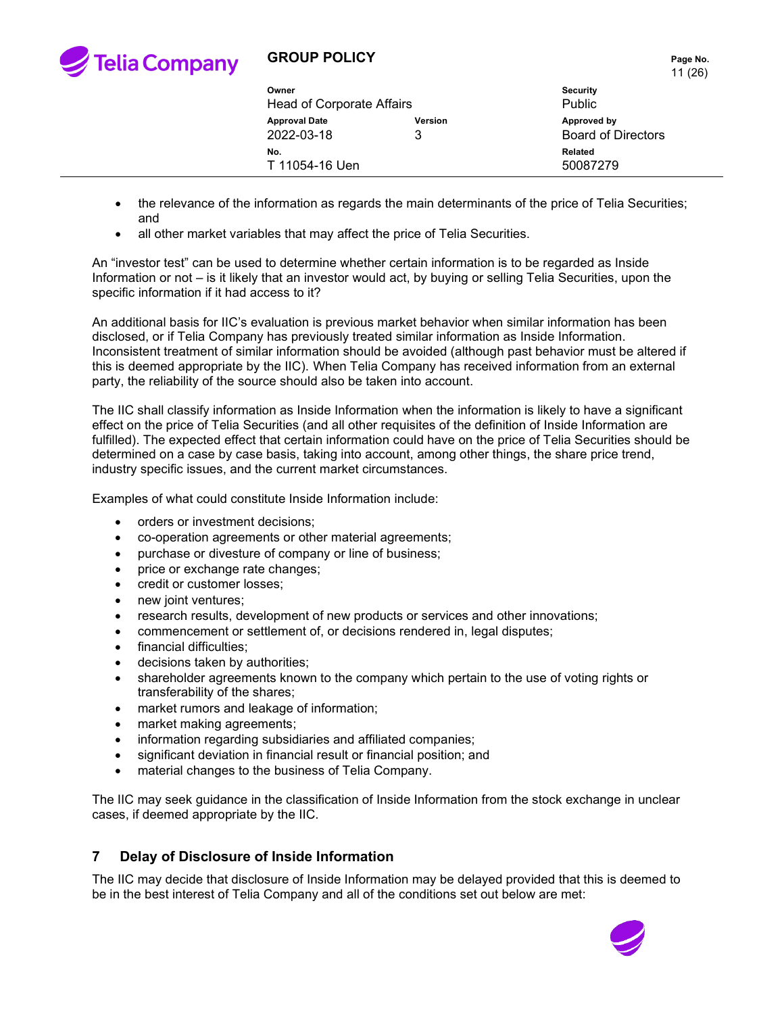

11 (26)

|                                    |                     | .                                        |
|------------------------------------|---------------------|------------------------------------------|
| Owner<br>Head of Corporate Affairs |                     | <b>Security</b><br>Public                |
| <b>Approval Date</b><br>2022-03-18 | <b>Version</b><br>3 | Approved by<br><b>Board of Directors</b> |
| No.<br>T 11054-16 Uen              |                     | Related<br>50087279                      |

- the relevance of the information as regards the main determinants of the price of Telia Securities; and
- all other market variables that may affect the price of Telia Securities.

An "investor test" can be used to determine whether certain information is to be regarded as Inside Information or not – is it likely that an investor would act, by buying or selling Telia Securities, upon the specific information if it had access to it?

An additional basis for IIC's evaluation is previous market behavior when similar information has been disclosed, or if Telia Company has previously treated similar information as Inside Information. Inconsistent treatment of similar information should be avoided (although past behavior must be altered if this is deemed appropriate by the IIC). When Telia Company has received information from an external party, the reliability of the source should also be taken into account.

The IIC shall classify information as Inside Information when the information is likely to have a significant effect on the price of Telia Securities (and all other requisites of the definition of Inside Information are fulfilled). The expected effect that certain information could have on the price of Telia Securities should be determined on a case by case basis, taking into account, among other things, the share price trend, industry specific issues, and the current market circumstances.

Examples of what could constitute Inside Information include:

- orders or investment decisions;
- co-operation agreements or other material agreements;
- purchase or divesture of company or line of business;
- price or exchange rate changes;
- credit or customer losses;
- new joint ventures;
- research results, development of new products or services and other innovations;
- commencement or settlement of, or decisions rendered in, legal disputes;
- financial difficulties;
- decisions taken by authorities;
- shareholder agreements known to the company which pertain to the use of voting rights or transferability of the shares;
- market rumors and leakage of information;
- market making agreements;
- information regarding subsidiaries and affiliated companies;
- significant deviation in financial result or financial position; and
- material changes to the business of Telia Company.

The IIC may seek guidance in the classification of Inside Information from the stock exchange in unclear cases, if deemed appropriate by the IIC.

### **7 Delay of Disclosure of Inside Information**

The IIC may decide that disclosure of Inside Information may be delayed provided that this is deemed to be in the best interest of Telia Company and all of the conditions set out below are met:

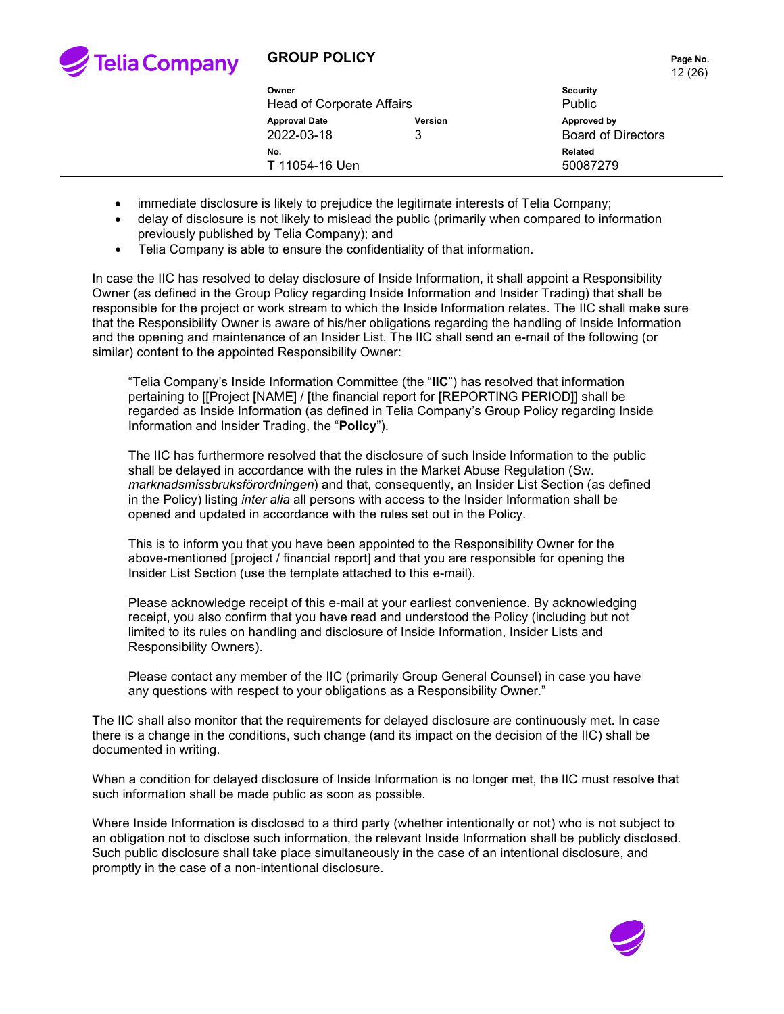

### **GROUP POLICY**

|         | Page No. |
|---------|----------|
| 12 (26) |          |

|                           |         | $\overline{\phantom{a}}$  |  |
|---------------------------|---------|---------------------------|--|
| Owner                     |         | <b>Security</b>           |  |
| Head of Corporate Affairs |         | Public                    |  |
| <b>Approval Date</b>      | Version | Approved by               |  |
| 2022-03-18                |         | <b>Board of Directors</b> |  |
| No.                       |         | <b>Related</b>            |  |
| T 11054-16 Uen            |         | 50087279                  |  |
|                           |         |                           |  |

- immediate disclosure is likely to prejudice the legitimate interests of Telia Company;
- delay of disclosure is not likely to mislead the public (primarily when compared to information previously published by Telia Company); and
- Telia Company is able to ensure the confidentiality of that information.

In case the IIC has resolved to delay disclosure of Inside Information, it shall appoint a Responsibility Owner (as defined in the Group Policy regarding Inside Information and Insider Trading) that shall be responsible for the project or work stream to which the Inside Information relates. The IIC shall make sure that the Responsibility Owner is aware of his/her obligations regarding the handling of Inside Information and the opening and maintenance of an Insider List. The IIC shall send an e-mail of the following (or similar) content to the appointed Responsibility Owner:

"Telia Company's Inside Information Committee (the "**IIC**") has resolved that information pertaining to [[Project [NAME] / [the financial report for [REPORTING PERIOD]] shall be regarded as Inside Information (as defined in Telia Company's Group Policy regarding Inside Information and Insider Trading, the "**Policy**").

The IIC has furthermore resolved that the disclosure of such Inside Information to the public shall be delayed in accordance with the rules in the Market Abuse Regulation (Sw. *marknadsmissbruksförordningen*) and that, consequently, an Insider List Section (as defined in the Policy) listing *inter alia* all persons with access to the Insider Information shall be opened and updated in accordance with the rules set out in the Policy.

This is to inform you that you have been appointed to the Responsibility Owner for the above-mentioned [project / financial report] and that you are responsible for opening the Insider List Section (use the template attached to this e-mail).

Please acknowledge receipt of this e-mail at your earliest convenience. By acknowledging receipt, you also confirm that you have read and understood the Policy (including but not limited to its rules on handling and disclosure of Inside Information, Insider Lists and Responsibility Owners).

Please contact any member of the IIC (primarily Group General Counsel) in case you have any questions with respect to your obligations as a Responsibility Owner."

The IIC shall also monitor that the requirements for delayed disclosure are continuously met. In case there is a change in the conditions, such change (and its impact on the decision of the IIC) shall be documented in writing.

When a condition for delayed disclosure of Inside Information is no longer met, the IIC must resolve that such information shall be made public as soon as possible.

Where Inside Information is disclosed to a third party (whether intentionally or not) who is not subject to an obligation not to disclose such information, the relevant Inside Information shall be publicly disclosed. Such public disclosure shall take place simultaneously in the case of an intentional disclosure, and promptly in the case of a non-intentional disclosure.

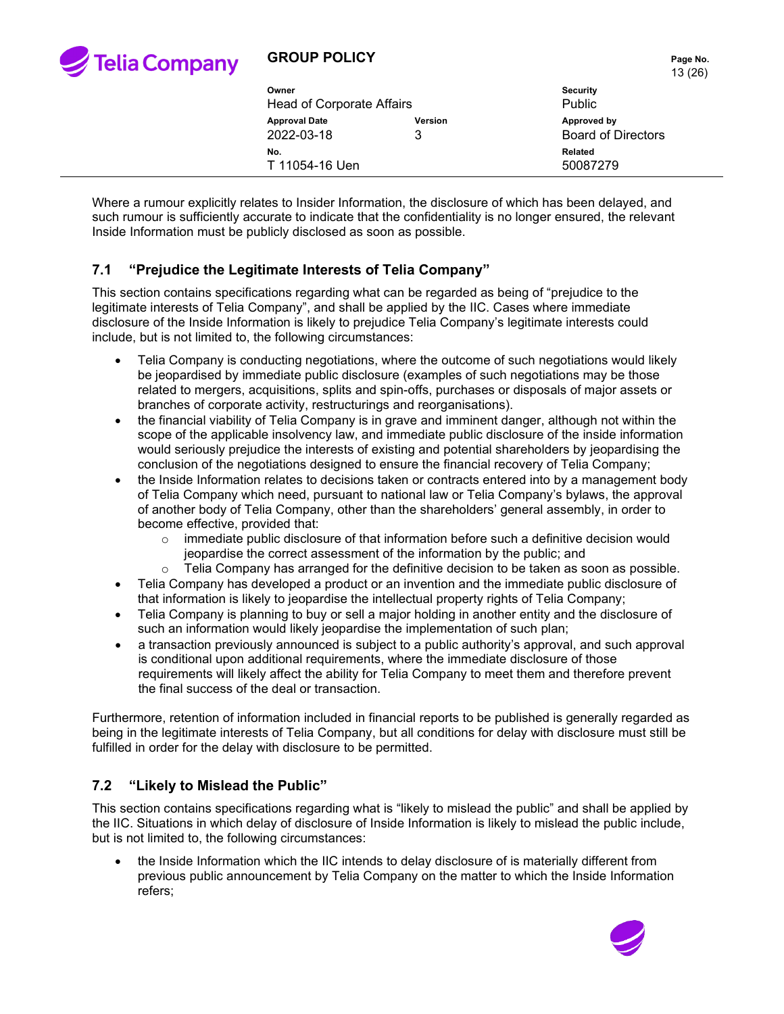

## **GROUP POLICY Page No.**

|                                    |                     | .<br>13(26)                              |
|------------------------------------|---------------------|------------------------------------------|
| Owner                              |                     | <b>Security</b>                          |
| <b>Head of Corporate Affairs</b>   |                     | <b>Public</b>                            |
| <b>Approval Date</b><br>2022-03-18 | <b>Version</b><br>3 | Approved by<br><b>Board of Directors</b> |
| No.                                |                     | <b>Related</b>                           |
| T 11054-16 Uen                     |                     | 50087279                                 |

Where a rumour explicitly relates to Insider Information, the disclosure of which has been delayed, and such rumour is sufficiently accurate to indicate that the confidentiality is no longer ensured, the relevant Inside Information must be publicly disclosed as soon as possible.

### **7.1 "Prejudice the Legitimate Interests of Telia Company"**

This section contains specifications regarding what can be regarded as being of "prejudice to the legitimate interests of Telia Company", and shall be applied by the IIC. Cases where immediate disclosure of the Inside Information is likely to prejudice Telia Company's legitimate interests could include, but is not limited to, the following circumstances:

- Telia Company is conducting negotiations, where the outcome of such negotiations would likely be jeopardised by immediate public disclosure (examples of such negotiations may be those related to mergers, acquisitions, splits and spin-offs, purchases or disposals of major assets or branches of corporate activity, restructurings and reorganisations).
- the financial viability of Telia Company is in grave and imminent danger, although not within the scope of the applicable insolvency law, and immediate public disclosure of the inside information would seriously prejudice the interests of existing and potential shareholders by jeopardising the conclusion of the negotiations designed to ensure the financial recovery of Telia Company;
- the Inside Information relates to decisions taken or contracts entered into by a management body of Telia Company which need, pursuant to national law or Telia Company's bylaws, the approval of another body of Telia Company, other than the shareholders' general assembly, in order to become effective, provided that:
	- $\circ$  immediate public disclosure of that information before such a definitive decision would jeopardise the correct assessment of the information by the public; and
	- $\circ$  Telia Company has arranged for the definitive decision to be taken as soon as possible.
- Telia Company has developed a product or an invention and the immediate public disclosure of that information is likely to jeopardise the intellectual property rights of Telia Company;
- Telia Company is planning to buy or sell a major holding in another entity and the disclosure of such an information would likely jeopardise the implementation of such plan;
- a transaction previously announced is subject to a public authority's approval, and such approval is conditional upon additional requirements, where the immediate disclosure of those requirements will likely affect the ability for Telia Company to meet them and therefore prevent the final success of the deal or transaction.

Furthermore, retention of information included in financial reports to be published is generally regarded as being in the legitimate interests of Telia Company, but all conditions for delay with disclosure must still be fulfilled in order for the delay with disclosure to be permitted.

### **7.2 "Likely to Mislead the Public"**

This section contains specifications regarding what is "likely to mislead the public" and shall be applied by the IIC. Situations in which delay of disclosure of Inside Information is likely to mislead the public include, but is not limited to, the following circumstances:

• the Inside Information which the IIC intends to delay disclosure of is materially different from previous public announcement by Telia Company on the matter to which the Inside Information refers;

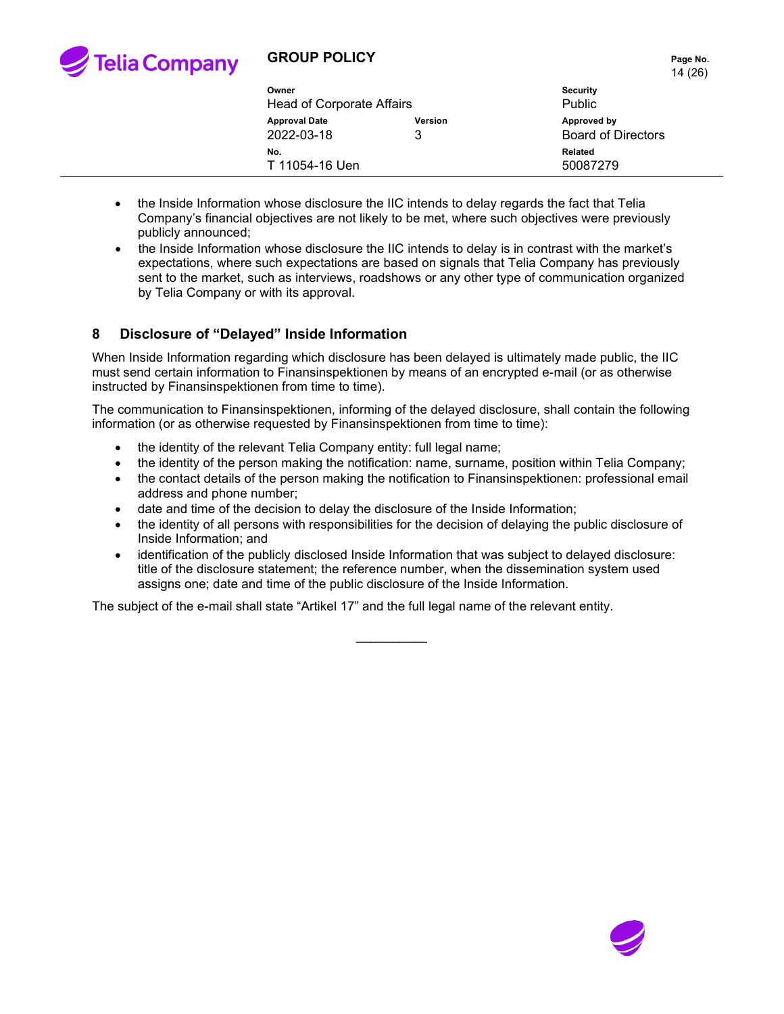

# **GROUP POLICY PAGE 10 AND THE PAGE NO.** Page No.

|                           |                | $\cdot$ $\cdot$ $\cdot$ $\cdot$ $\cdot$ |  |
|---------------------------|----------------|-----------------------------------------|--|
| Owner                     |                | <b>Security</b>                         |  |
| Head of Corporate Affairs |                | <b>Public</b>                           |  |
| <b>Approval Date</b>      | <b>Version</b> | Approved by                             |  |
| 2022-03-18                | 3              | <b>Board of Directors</b>               |  |
| No.                       |                | Related                                 |  |
| T 11054-16 Uen            |                | 50087279                                |  |
|                           |                |                                         |  |

- the Inside Information whose disclosure the IIC intends to delay regards the fact that Telia Company's financial objectives are not likely to be met, where such objectives were previously publicly announced;
- the Inside Information whose disclosure the IIC intends to delay is in contrast with the market's expectations, where such expectations are based on signals that Telia Company has previously sent to the market, such as interviews, roadshows or any other type of communication organized by Telia Company or with its approval.

### **8 Disclosure of "Delayed" Inside Information**

When Inside Information regarding which disclosure has been delayed is ultimately made public, the IIC must send certain information to Finansinspektionen by means of an encrypted e-mail (or as otherwise instructed by Finansinspektionen from time to time).

The communication to Finansinspektionen, informing of the delayed disclosure, shall contain the following information (or as otherwise requested by Finansinspektionen from time to time):

- the identity of the relevant Telia Company entity: full legal name;
- the identity of the person making the notification: name, surname, position within Telia Company;
- the contact details of the person making the notification to Finansinspektionen: professional email address and phone number;
- date and time of the decision to delay the disclosure of the Inside Information;
- the identity of all persons with responsibilities for the decision of delaying the public disclosure of Inside Information; and
- identification of the publicly disclosed Inside Information that was subject to delayed disclosure: title of the disclosure statement; the reference number, when the dissemination system used assigns one; date and time of the public disclosure of the Inside Information.

 $\overline{\phantom{a}}$ 

The subject of the e-mail shall state "Artikel 17" and the full legal name of the relevant entity.

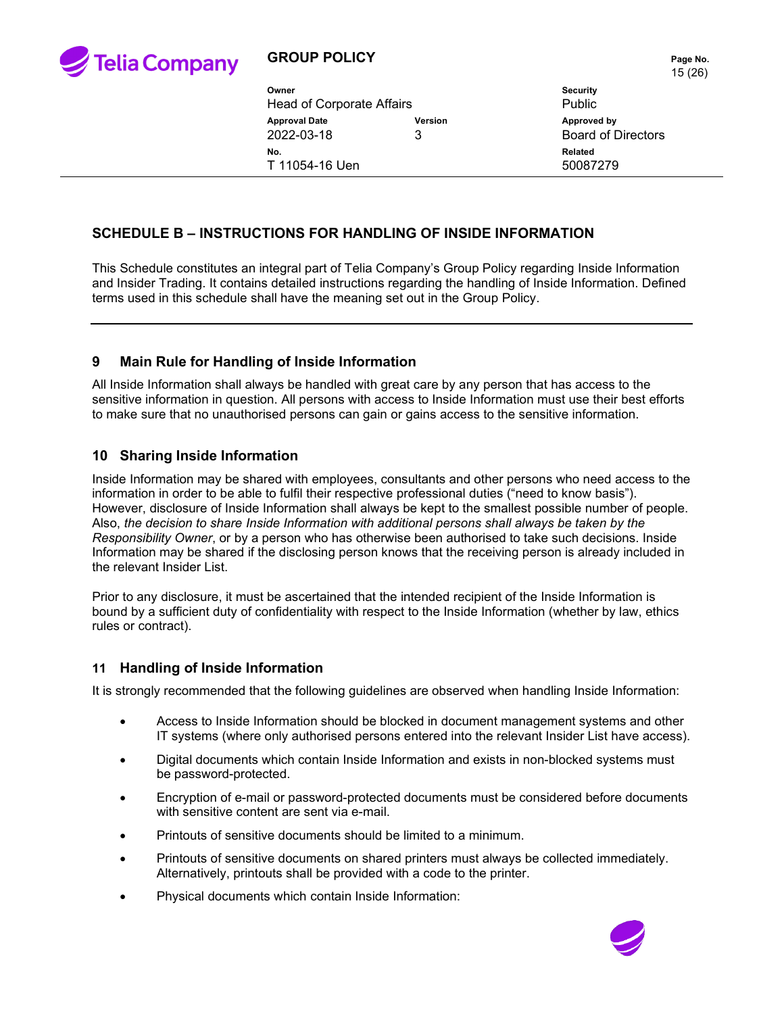

|                                  |                | ט ו                       |
|----------------------------------|----------------|---------------------------|
| Owner                            |                | <b>Security</b>           |
| <b>Head of Corporate Affairs</b> |                | <b>Public</b>             |
| <b>Approval Date</b>             | <b>Version</b> | Approved by               |
| 2022-03-18                       | 3              | <b>Board of Directors</b> |
| No.                              |                | Related                   |
| T 11054-16 Uen                   |                | 50087279                  |
|                                  |                |                           |

### **SCHEDULE B – INSTRUCTIONS FOR HANDLING OF INSIDE INFORMATION**

This Schedule constitutes an integral part of Telia Company's Group Policy regarding Inside Information and Insider Trading. It contains detailed instructions regarding the handling of Inside Information. Defined terms used in this schedule shall have the meaning set out in the Group Policy.

#### **9 Main Rule for Handling of Inside Information**

All Inside Information shall always be handled with great care by any person that has access to the sensitive information in question. All persons with access to Inside Information must use their best efforts to make sure that no unauthorised persons can gain or gains access to the sensitive information.

#### **10 Sharing Inside Information**

Inside Information may be shared with employees, consultants and other persons who need access to the information in order to be able to fulfil their respective professional duties ("need to know basis"). However, disclosure of Inside Information shall always be kept to the smallest possible number of people. Also, *the decision to share Inside Information with additional persons shall always be taken by the Responsibility Owner*, or by a person who has otherwise been authorised to take such decisions. Inside Information may be shared if the disclosing person knows that the receiving person is already included in the relevant Insider List.

Prior to any disclosure, it must be ascertained that the intended recipient of the Inside Information is bound by a sufficient duty of confidentiality with respect to the Inside Information (whether by law, ethics rules or contract).

#### **11 Handling of Inside Information**

It is strongly recommended that the following guidelines are observed when handling Inside Information:

- Access to Inside Information should be blocked in document management systems and other IT systems (where only authorised persons entered into the relevant Insider List have access).
- Digital documents which contain Inside Information and exists in non-blocked systems must be password-protected.
- Encryption of e-mail or password-protected documents must be considered before documents with sensitive content are sent via e-mail.
- Printouts of sensitive documents should be limited to a minimum.
- Printouts of sensitive documents on shared printers must always be collected immediately. Alternatively, printouts shall be provided with a code to the printer.
- Physical documents which contain Inside Information:

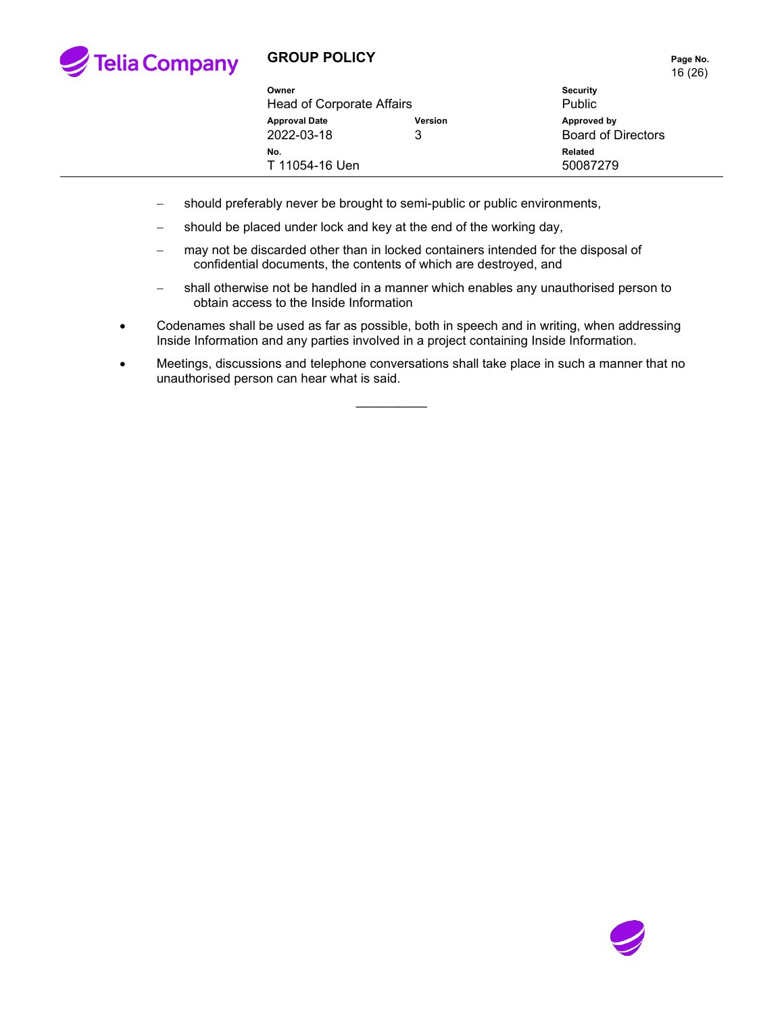

# **GROUP POLICY PAGE 2012 12:25 Page No.**

16 (26)

| Owner<br>Head of Corporate Affairs |              | <b>Security</b><br><b>Public</b>         |
|------------------------------------|--------------|------------------------------------------|
| <b>Approval Date</b><br>2022-03-18 | Version<br>3 | Approved by<br><b>Board of Directors</b> |
| No.<br>T 11054-16 Uen              |              | Related<br>50087279                      |

- − should preferably never be brought to semi-public or public environments,
- − should be placed under lock and key at the end of the working day,
- − may not be discarded other than in locked containers intended for the disposal of confidential documents, the contents of which are destroyed, and
- − shall otherwise not be handled in a manner which enables any unauthorised person to obtain access to the Inside Information
- Codenames shall be used as far as possible, both in speech and in writing, when addressing Inside Information and any parties involved in a project containing Inside Information.
- Meetings, discussions and telephone conversations shall take place in such a manner that no unauthorised person can hear what is said.

 $\overline{\phantom{a}}$ 

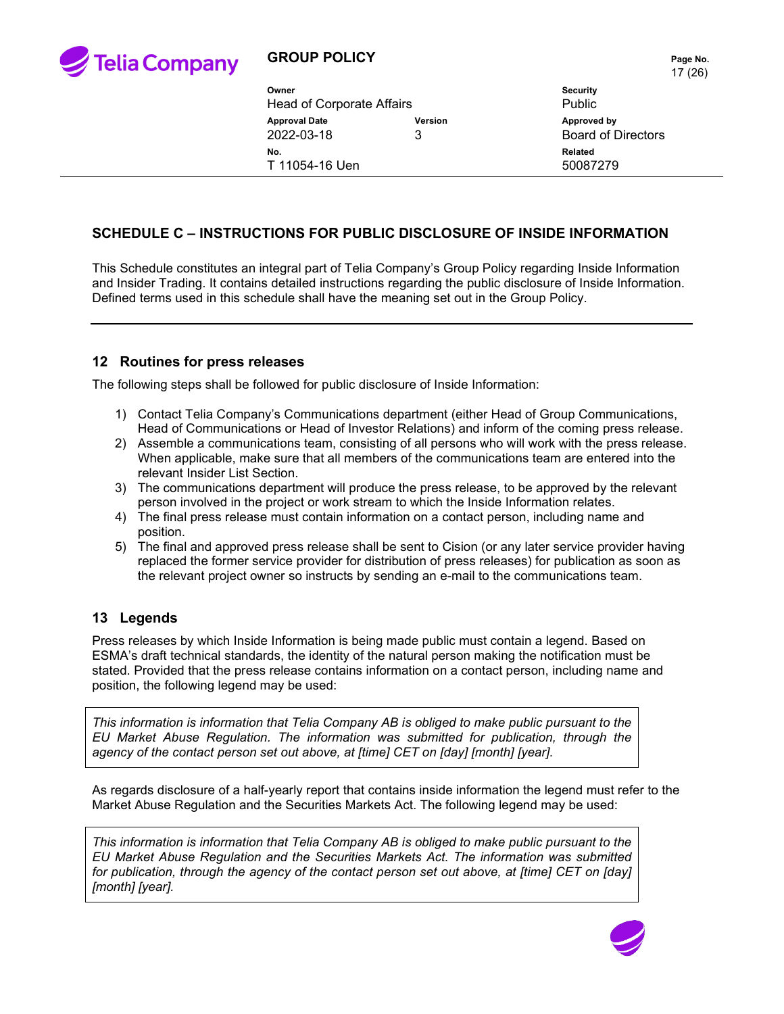

| Owner<br><b>Head of Corporate Affairs</b>          |  | <b>Security</b><br><b>Public</b>         |
|----------------------------------------------------|--|------------------------------------------|
| <b>Approval Date</b><br>Version<br>2022-03-18<br>3 |  | Approved by<br><b>Board of Directors</b> |
| No.<br>T 11054-16 Uen                              |  | Related<br>50087279                      |

### **SCHEDULE C – INSTRUCTIONS FOR PUBLIC DISCLOSURE OF INSIDE INFORMATION**

This Schedule constitutes an integral part of Telia Company's Group Policy regarding Inside Information and Insider Trading. It contains detailed instructions regarding the public disclosure of Inside Information. Defined terms used in this schedule shall have the meaning set out in the Group Policy.

#### **12 Routines for press releases**

The following steps shall be followed for public disclosure of Inside Information:

- 1) Contact Telia Company's Communications department (either Head of Group Communications, Head of Communications or Head of Investor Relations) and inform of the coming press release.
- 2) Assemble a communications team, consisting of all persons who will work with the press release. When applicable, make sure that all members of the communications team are entered into the relevant Insider List Section.
- 3) The communications department will produce the press release, to be approved by the relevant person involved in the project or work stream to which the Inside Information relates.
- 4) The final press release must contain information on a contact person, including name and position.
- 5) The final and approved press release shall be sent to Cision (or any later service provider having replaced the former service provider for distribution of press releases) for publication as soon as the relevant project owner so instructs by sending an e-mail to the communications team.

### **13 Legends**

Press releases by which Inside Information is being made public must contain a legend. Based on ESMA's draft technical standards, the identity of the natural person making the notification must be stated. Provided that the press release contains information on a contact person, including name and position, the following legend may be used:

*This information is information that Telia Company AB is obliged to make public pursuant to the EU Market Abuse Regulation. The information was submitted for publication, through the agency of the contact person set out above, at [time] CET on [day] [month] [year].*

As regards disclosure of a half-yearly report that contains inside information the legend must refer to the Market Abuse Regulation and the Securities Markets Act. The following legend may be used:

*This information is information that Telia Company AB is obliged to make public pursuant to the EU Market Abuse Regulation and the Securities Markets Act. The information was submitted for publication, through the agency of the contact person set out above, at [time] CET on [day] [month] [year].*

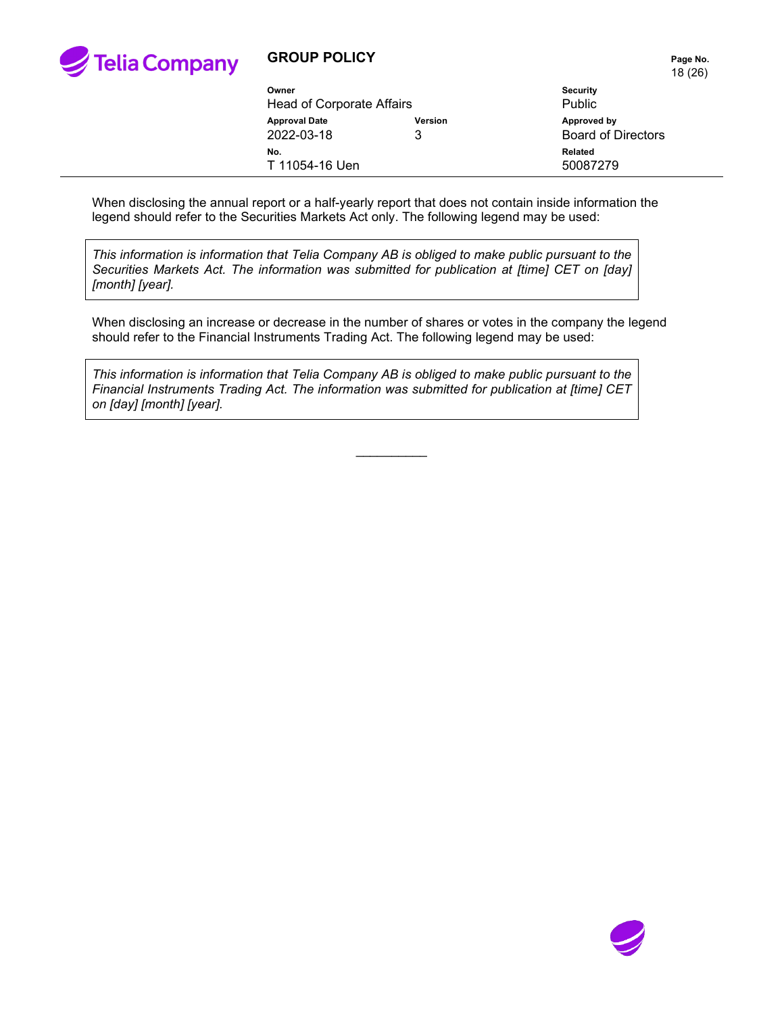

## **GROUP POLICY PAGE 2012 12:25 Page No.**

18 (26)

| Owner<br><b>Head of Corporate Affairs</b> |              | <b>Security</b><br><b>Public</b>         |
|-------------------------------------------|--------------|------------------------------------------|
| <b>Approval Date</b><br>2022-03-18        | Version<br>3 | Approved by<br><b>Board of Directors</b> |
| No.<br>T 11054-16 Uen                     |              | Related<br>50087279                      |

When disclosing the annual report or a half-yearly report that does not contain inside information the legend should refer to the Securities Markets Act only. The following legend may be used:

*This information is information that Telia Company AB is obliged to make public pursuant to the Securities Markets Act. The information was submitted for publication at [time] CET on [day] [month] [year].*

When disclosing an increase or decrease in the number of shares or votes in the company the legend should refer to the Financial Instruments Trading Act. The following legend may be used:

*This information is information that Telia Company AB is obliged to make public pursuant to the Financial Instruments Trading Act. The information was submitted for publication at [time] CET on [day] [month] [year].*

 $\mathcal{L}$  . The set of  $\mathcal{L}$ 

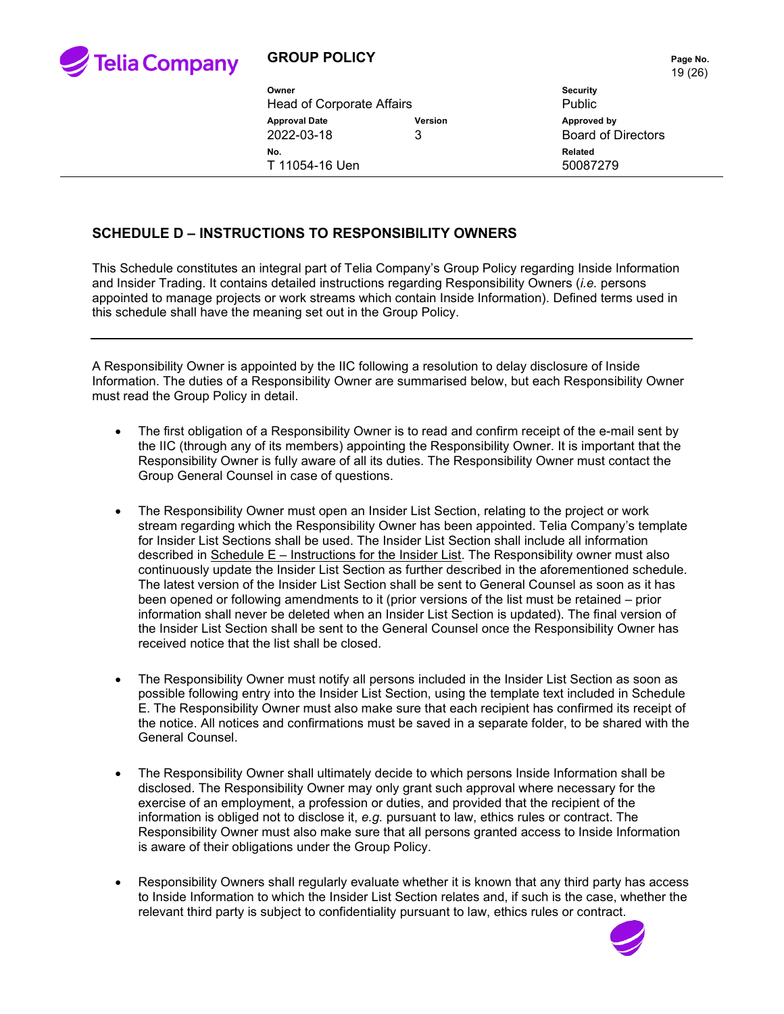

| Owner<br>Head of Corporate Affairs                 |  | <b>Security</b><br><b>Public</b>         |
|----------------------------------------------------|--|------------------------------------------|
| <b>Approval Date</b><br>Version<br>2022-03-18<br>3 |  | Approved by<br><b>Board of Directors</b> |
| No.<br>T 11054-16 Uen                              |  | Related<br>50087279                      |

### **SCHEDULE D – INSTRUCTIONS TO RESPONSIBILITY OWNERS**

This Schedule constitutes an integral part of Telia Company's Group Policy regarding Inside Information and Insider Trading. It contains detailed instructions regarding Responsibility Owners (*i.e.* persons appointed to manage projects or work streams which contain Inside Information). Defined terms used in this schedule shall have the meaning set out in the Group Policy.

A Responsibility Owner is appointed by the IIC following a resolution to delay disclosure of Inside Information. The duties of a Responsibility Owner are summarised below, but each Responsibility Owner must read the Group Policy in detail.

- The first obligation of a Responsibility Owner is to read and confirm receipt of the e-mail sent by the IIC (through any of its members) appointing the Responsibility Owner. It is important that the Responsibility Owner is fully aware of all its duties. The Responsibility Owner must contact the Group General Counsel in case of questions.
- The Responsibility Owner must open an Insider List Section, relating to the project or work stream regarding which the Responsibility Owner has been appointed. Telia Company's template for Insider List Sections shall be used. The Insider List Section shall include all information described in  $S$ chedule  $E$  – Instructions for the Insider List. The Responsibility owner must also continuously update the Insider List Section as further described in the aforementioned schedule. The latest version of the Insider List Section shall be sent to General Counsel as soon as it has been opened or following amendments to it (prior versions of the list must be retained – prior information shall never be deleted when an Insider List Section is updated). The final version of the Insider List Section shall be sent to the General Counsel once the Responsibility Owner has received notice that the list shall be closed.
- The Responsibility Owner must notify all persons included in the Insider List Section as soon as possible following entry into the Insider List Section, using the template text included in Schedule E. The Responsibility Owner must also make sure that each recipient has confirmed its receipt of the notice. All notices and confirmations must be saved in a separate folder, to be shared with the General Counsel.
- The Responsibility Owner shall ultimately decide to which persons Inside Information shall be disclosed. The Responsibility Owner may only grant such approval where necessary for the exercise of an employment, a profession or duties, and provided that the recipient of the information is obliged not to disclose it, *e.g.* pursuant to law, ethics rules or contract. The Responsibility Owner must also make sure that all persons granted access to Inside Information is aware of their obligations under the Group Policy.
- Responsibility Owners shall regularly evaluate whether it is known that any third party has access to Inside Information to which the Insider List Section relates and, if such is the case, whether the relevant third party is subject to confidentiality pursuant to law, ethics rules or contract.

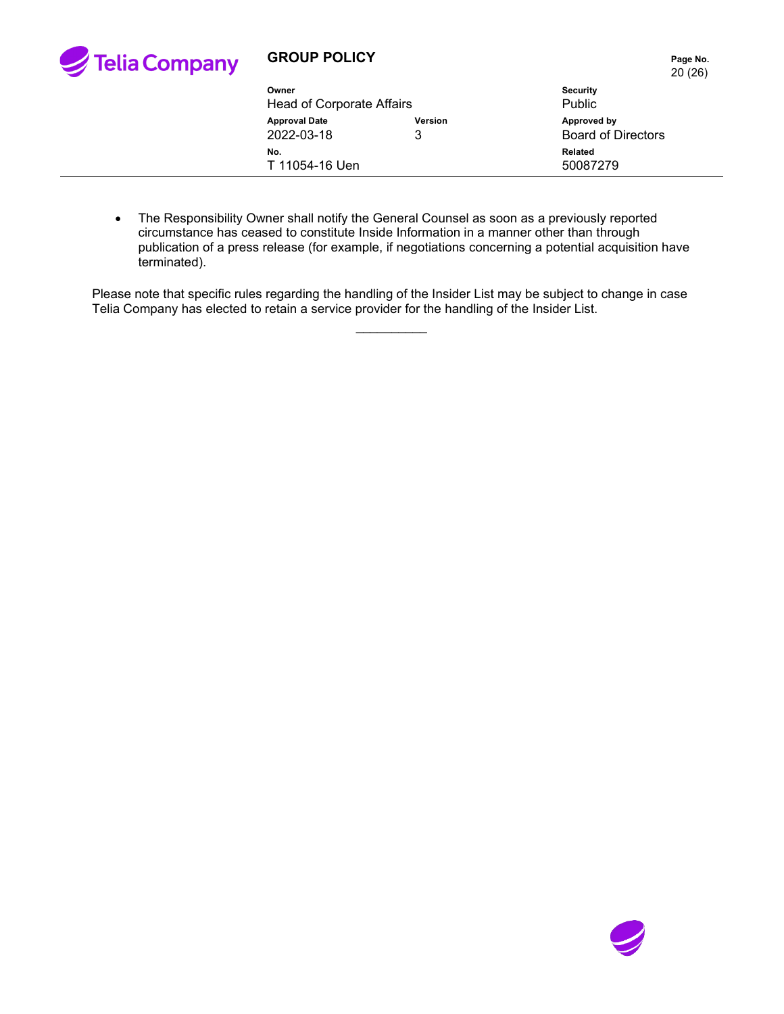

|                                    |                     | 20(26)                                   |
|------------------------------------|---------------------|------------------------------------------|
| Owner<br>Head of Corporate Affairs |                     | <b>Security</b><br><b>Public</b>         |
| <b>Approval Date</b><br>2022-03-18 | <b>Version</b><br>3 | Approved by<br><b>Board of Directors</b> |
| No.<br>T 11054-16 Uen              |                     | <b>Related</b><br>50087279               |

• The Responsibility Owner shall notify the General Counsel as soon as a previously reported circumstance has ceased to constitute Inside Information in a manner other than through publication of a press release (for example, if negotiations concerning a potential acquisition have terminated).

Please note that specific rules regarding the handling of the Insider List may be subject to change in case Telia Company has elected to retain a service provider for the handling of the Insider List.

 $\overline{\phantom{a}}$ 

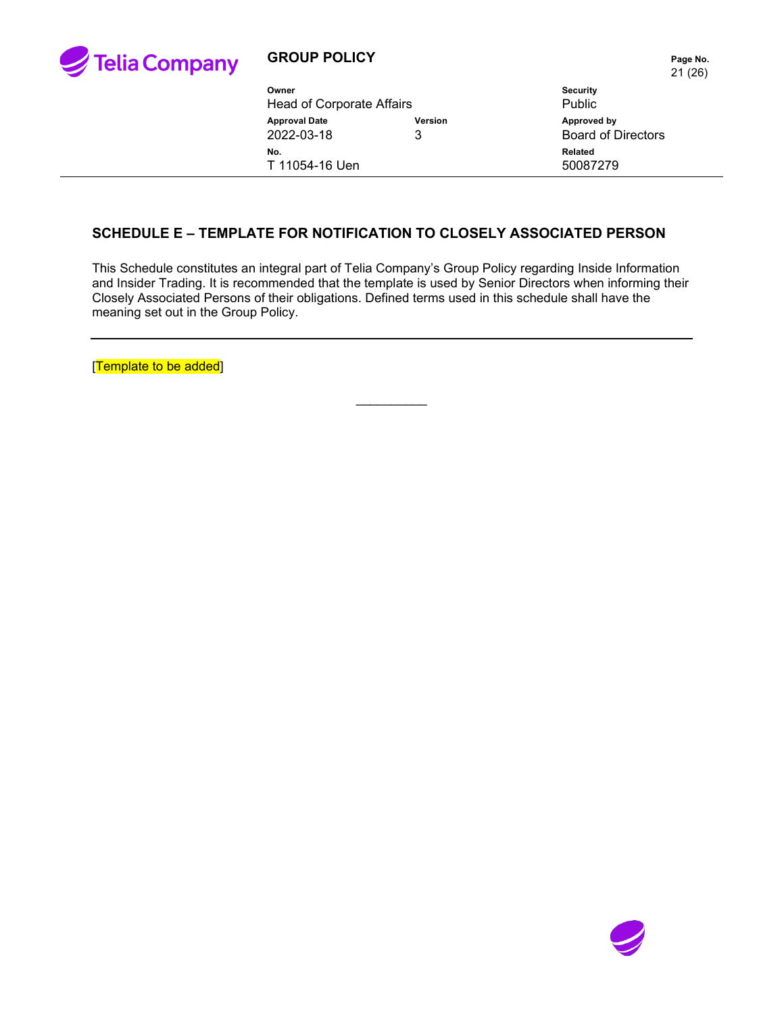

# **GROUP POLICY PAGE 2012 12:25 Page No.**

21 (26)

| Owner                                                     |  | <b>Security</b>                          |
|-----------------------------------------------------------|--|------------------------------------------|
| <b>Head of Corporate Affairs</b>                          |  | Public                                   |
| <b>Approval Date</b><br><b>Version</b><br>2022-03-18<br>3 |  | Approved by<br><b>Board of Directors</b> |
| No.<br>T 11054-16 Uen                                     |  | Related<br>50087279                      |

### **SCHEDULE E – TEMPLATE FOR NOTIFICATION TO CLOSELY ASSOCIATED PERSON**

This Schedule constitutes an integral part of Telia Company's Group Policy regarding Inside Information and Insider Trading. It is recommended that the template is used by Senior Directors when informing their Closely Associated Persons of their obligations. Defined terms used in this schedule shall have the meaning set out in the Group Policy.

 $\overline{\phantom{a}}$ 

[Template to be added]

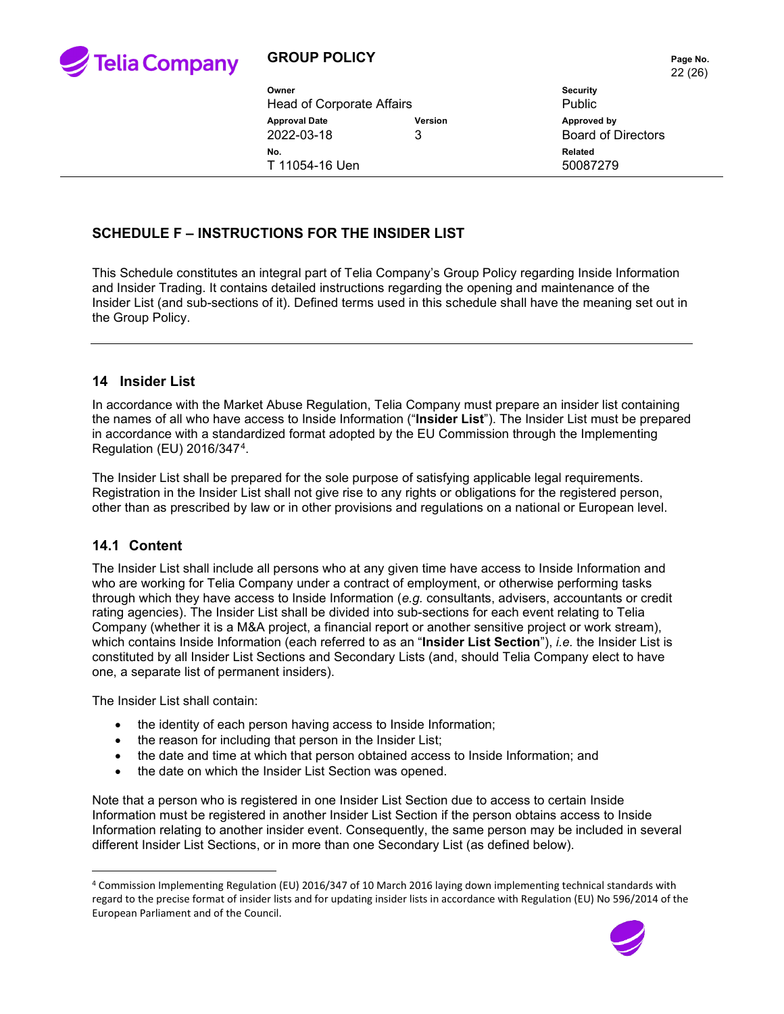

# **GROUP POLICY PAGE 10 Page No.**

|                           |                | ZZ IZI                    |  |
|---------------------------|----------------|---------------------------|--|
| Owner                     |                | <b>Security</b>           |  |
| Head of Corporate Affairs |                | <b>Public</b>             |  |
| <b>Approval Date</b>      | <b>Version</b> | Approved by               |  |
| 2022-03-18                | 3              | <b>Board of Directors</b> |  |
| No.                       |                | Related                   |  |
| T 11054-16 Uen            |                | 50087279                  |  |
|                           |                |                           |  |

### **SCHEDULE F – INSTRUCTIONS FOR THE INSIDER LIST**

This Schedule constitutes an integral part of Telia Company's Group Policy regarding Inside Information and Insider Trading. It contains detailed instructions regarding the opening and maintenance of the Insider List (and sub-sections of it). Defined terms used in this schedule shall have the meaning set out in the Group Policy.

#### **14 Insider List**

In accordance with the Market Abuse Regulation, Telia Company must prepare an insider list containing the names of all who have access to Inside Information ("**Insider List**"). The Insider List must be prepared in accordance with a standardized format adopted by the EU Commission through the Implementing Regulation (EU) 2016/347[4.](#page-21-0)

The Insider List shall be prepared for the sole purpose of satisfying applicable legal requirements. Registration in the Insider List shall not give rise to any rights or obligations for the registered person, other than as prescribed by law or in other provisions and regulations on a national or European level.

### **14.1 Content**

The Insider List shall include all persons who at any given time have access to Inside Information and who are working for Telia Company under a contract of employment, or otherwise performing tasks through which they have access to Inside Information (*e.g.* consultants, advisers, accountants or credit rating agencies). The Insider List shall be divided into sub-sections for each event relating to Telia Company (whether it is a M&A project, a financial report or another sensitive project or work stream), which contains Inside Information (each referred to as an "**Insider List Section**"), *i.e.* the Insider List is constituted by all Insider List Sections and Secondary Lists (and, should Telia Company elect to have one, a separate list of permanent insiders).

The Insider List shall contain:

- the identity of each person having access to Inside Information;
- the reason for including that person in the Insider List;
- the date and time at which that person obtained access to Inside Information; and
- the date on which the Insider List Section was opened.

Note that a person who is registered in one Insider List Section due to access to certain Inside Information must be registered in another Insider List Section if the person obtains access to Inside Information relating to another insider event. Consequently, the same person may be included in several different Insider List Sections, or in more than one Secondary List (as defined below).

<span id="page-21-0"></span><sup>4</sup> Commission Implementing Regulation (EU) 2016/347 of 10 March 2016 laying down implementing technical standards with regard to the precise format of insider lists and for updating insider lists in accordance with Regulation (EU) No 596/2014 of the European Parliament and of the Council.

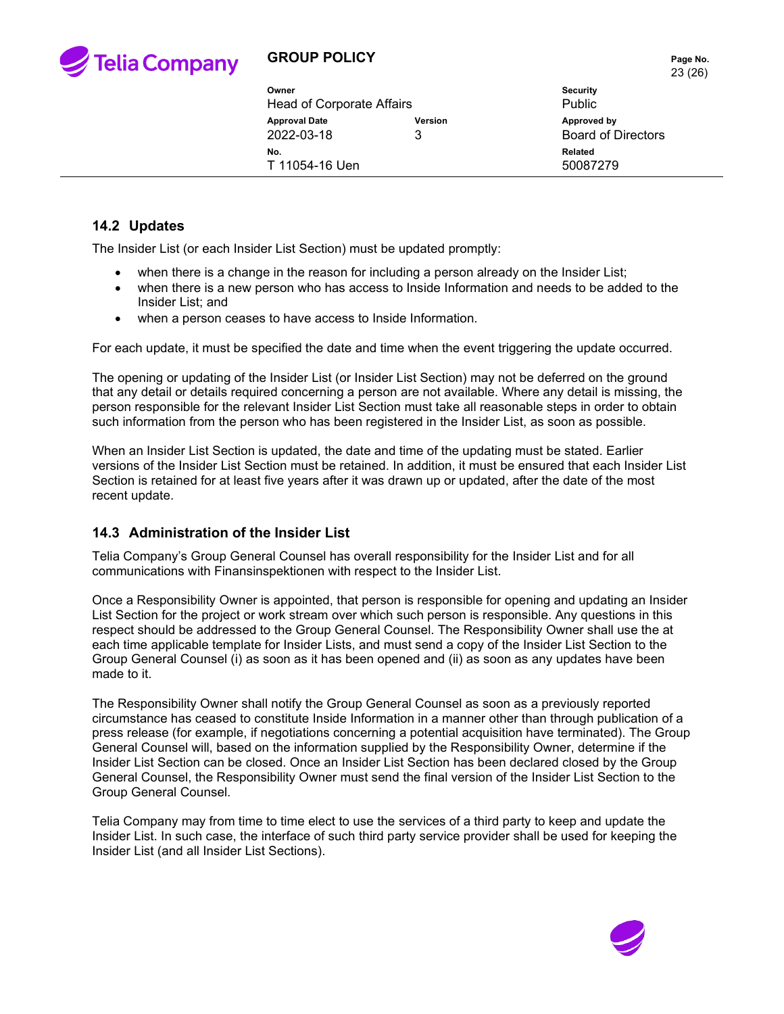

# **GROUP POLICY PAGE 10 Page No.**

|                           |                | 23(26)                    |  |
|---------------------------|----------------|---------------------------|--|
| Owner                     |                | <b>Security</b>           |  |
| Head of Corporate Affairs |                | <b>Public</b>             |  |
| <b>Approval Date</b>      | <b>Version</b> | Approved by               |  |
| 2022-03-18                | 3              | <b>Board of Directors</b> |  |
| No.                       |                | <b>Related</b>            |  |
| T 11054-16 Uen            |                | 50087279                  |  |

### **14.2 Updates**

The Insider List (or each Insider List Section) must be updated promptly:

- when there is a change in the reason for including a person already on the Insider List;
- when there is a new person who has access to Inside Information and needs to be added to the Insider List; and
- when a person ceases to have access to Inside Information.

For each update, it must be specified the date and time when the event triggering the update occurred.

The opening or updating of the Insider List (or Insider List Section) may not be deferred on the ground that any detail or details required concerning a person are not available. Where any detail is missing, the person responsible for the relevant Insider List Section must take all reasonable steps in order to obtain such information from the person who has been registered in the Insider List, as soon as possible.

When an Insider List Section is updated, the date and time of the updating must be stated. Earlier versions of the Insider List Section must be retained. In addition, it must be ensured that each Insider List Section is retained for at least five years after it was drawn up or updated, after the date of the most recent update.

### **14.3 Administration of the Insider List**

Telia Company's Group General Counsel has overall responsibility for the Insider List and for all communications with Finansinspektionen with respect to the Insider List.

Once a Responsibility Owner is appointed, that person is responsible for opening and updating an Insider List Section for the project or work stream over which such person is responsible. Any questions in this respect should be addressed to the Group General Counsel. The Responsibility Owner shall use the at each time applicable template for Insider Lists, and must send a copy of the Insider List Section to the Group General Counsel (i) as soon as it has been opened and (ii) as soon as any updates have been made to it.

The Responsibility Owner shall notify the Group General Counsel as soon as a previously reported circumstance has ceased to constitute Inside Information in a manner other than through publication of a press release (for example, if negotiations concerning a potential acquisition have terminated). The Group General Counsel will, based on the information supplied by the Responsibility Owner, determine if the Insider List Section can be closed. Once an Insider List Section has been declared closed by the Group General Counsel, the Responsibility Owner must send the final version of the Insider List Section to the Group General Counsel.

Telia Company may from time to time elect to use the services of a third party to keep and update the Insider List. In such case, the interface of such third party service provider shall be used for keeping the Insider List (and all Insider List Sections).

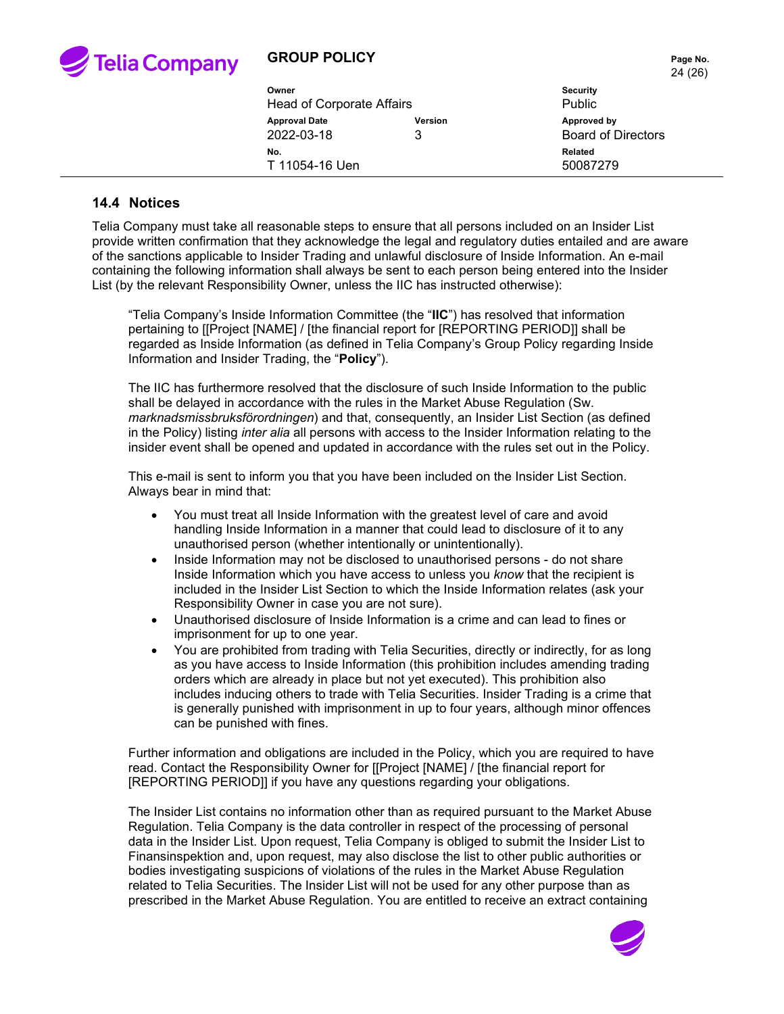

# **GROUP POLICY Page No.**

| 900 - 91                  |                | <b>Faye NO</b>            |  |
|---------------------------|----------------|---------------------------|--|
|                           |                | 24 (26)                   |  |
| Owner                     |                | <b>Security</b>           |  |
| Head of Corporate Affairs |                | <b>Public</b>             |  |
| <b>Approval Date</b>      | <b>Version</b> | Approved by               |  |
| 2022-03-18                | 3              | <b>Board of Directors</b> |  |
| No.                       |                | Related                   |  |

#### **14.4 Notices**

Telia Company must take all reasonable steps to ensure that all persons included on an Insider List provide written confirmation that they acknowledge the legal and regulatory duties entailed and are aware of the sanctions applicable to Insider Trading and unlawful disclosure of Inside Information. An e-mail containing the following information shall always be sent to each person being entered into the Insider List (by the relevant Responsibility Owner, unless the IIC has instructed otherwise):

T 11054-16 Uen 50087279

"Telia Company's Inside Information Committee (the "**IIC**") has resolved that information pertaining to [[Project [NAME] / [the financial report for [REPORTING PERIOD]] shall be regarded as Inside Information (as defined in Telia Company's Group Policy regarding Inside Information and Insider Trading, the "**Policy**").

The IIC has furthermore resolved that the disclosure of such Inside Information to the public shall be delayed in accordance with the rules in the Market Abuse Regulation (Sw. *marknadsmissbruksförordningen*) and that, consequently, an Insider List Section (as defined in the Policy) listing *inter alia* all persons with access to the Insider Information relating to the insider event shall be opened and updated in accordance with the rules set out in the Policy.

This e-mail is sent to inform you that you have been included on the Insider List Section. Always bear in mind that:

- You must treat all Inside Information with the greatest level of care and avoid handling Inside Information in a manner that could lead to disclosure of it to any unauthorised person (whether intentionally or unintentionally).
- Inside Information may not be disclosed to unauthorised persons do not share Inside Information which you have access to unless you *know* that the recipient is included in the Insider List Section to which the Inside Information relates (ask your Responsibility Owner in case you are not sure).
- Unauthorised disclosure of Inside Information is a crime and can lead to fines or imprisonment for up to one year.
- You are prohibited from trading with Telia Securities, directly or indirectly, for as long as you have access to Inside Information (this prohibition includes amending trading orders which are already in place but not yet executed). This prohibition also includes inducing others to trade with Telia Securities. Insider Trading is a crime that is generally punished with imprisonment in up to four years, although minor offences can be punished with fines.

Further information and obligations are included in the Policy, which you are required to have read. Contact the Responsibility Owner for [[Project [NAME] / [the financial report for [REPORTING PERIOD]] if you have any questions regarding your obligations.

The Insider List contains no information other than as required pursuant to the Market Abuse Regulation. Telia Company is the data controller in respect of the processing of personal data in the Insider List. Upon request, Telia Company is obliged to submit the Insider List to Finansinspektion and, upon request, may also disclose the list to other public authorities or bodies investigating suspicions of violations of the rules in the Market Abuse Regulation related to Telia Securities. The Insider List will not be used for any other purpose than as prescribed in the Market Abuse Regulation. You are entitled to receive an extract containing

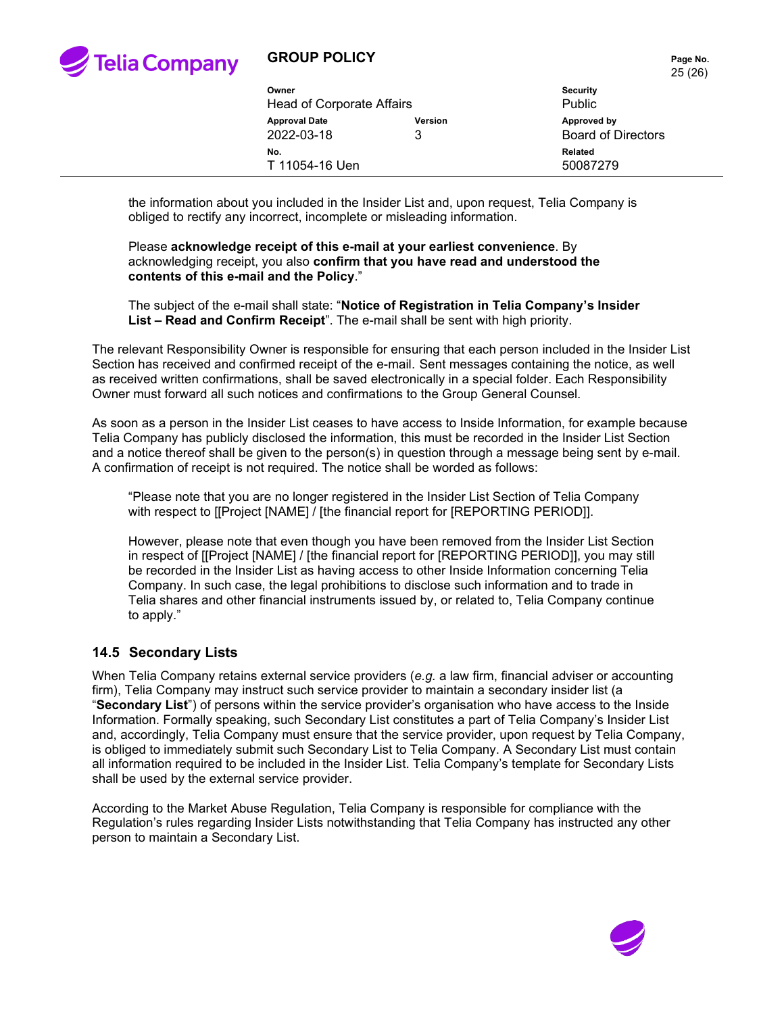

# **GROUP POLICY PAGE 10.** Page No.

|  |                           |                | ZU (ZU)                   |
|--|---------------------------|----------------|---------------------------|
|  | Owner                     |                | <b>Security</b>           |
|  | Head of Corporate Affairs |                | <b>Public</b>             |
|  | <b>Approval Date</b>      | <b>Version</b> | Approved by               |
|  | 2022-03-18                | 3              | <b>Board of Directors</b> |
|  | No.                       |                | Related                   |
|  | T 11054-16 Uen            |                | 50087279                  |

the information about you included in the Insider List and, upon request, Telia Company is obliged to rectify any incorrect, incomplete or misleading information.

Please **acknowledge receipt of this e-mail at your earliest convenience**. By acknowledging receipt, you also **confirm that you have read and understood the contents of this e-mail and the Policy**."

The subject of the e-mail shall state: "**Notice of Registration in Telia Company's Insider List – Read and Confirm Receipt**". The e-mail shall be sent with high priority.

The relevant Responsibility Owner is responsible for ensuring that each person included in the Insider List Section has received and confirmed receipt of the e-mail. Sent messages containing the notice, as well as received written confirmations, shall be saved electronically in a special folder. Each Responsibility Owner must forward all such notices and confirmations to the Group General Counsel.

As soon as a person in the Insider List ceases to have access to Inside Information, for example because Telia Company has publicly disclosed the information, this must be recorded in the Insider List Section and a notice thereof shall be given to the person(s) in question through a message being sent by e-mail. A confirmation of receipt is not required. The notice shall be worded as follows:

"Please note that you are no longer registered in the Insider List Section of Telia Company with respect to [[Project [NAME] / [the financial report for [REPORTING PERIOD]].

However, please note that even though you have been removed from the Insider List Section in respect of [[Project [NAME] / [the financial report for [REPORTING PERIOD]], you may still be recorded in the Insider List as having access to other Inside Information concerning Telia Company. In such case, the legal prohibitions to disclose such information and to trade in Telia shares and other financial instruments issued by, or related to, Telia Company continue to apply."

#### **14.5 Secondary Lists**

When Telia Company retains external service providers (*e.g.* a law firm, financial adviser or accounting firm), Telia Company may instruct such service provider to maintain a secondary insider list (a "**Secondary List**") of persons within the service provider's organisation who have access to the Inside Information. Formally speaking, such Secondary List constitutes a part of Telia Company's Insider List and, accordingly, Telia Company must ensure that the service provider, upon request by Telia Company, is obliged to immediately submit such Secondary List to Telia Company. A Secondary List must contain all information required to be included in the Insider List. Telia Company's template for Secondary Lists shall be used by the external service provider.

According to the Market Abuse Regulation, Telia Company is responsible for compliance with the Regulation's rules regarding Insider Lists notwithstanding that Telia Company has instructed any other person to maintain a Secondary List.



 $25$  (26)